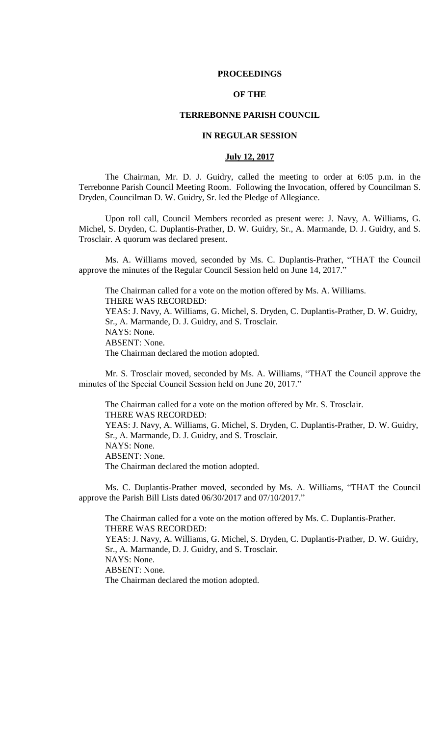#### **PROCEEDINGS**

## **OF THE**

## **TERREBONNE PARISH COUNCIL**

## **IN REGULAR SESSION**

## **July 12, 2017**

The Chairman, Mr. D. J. Guidry, called the meeting to order at 6:05 p.m. in the Terrebonne Parish Council Meeting Room. Following the Invocation, offered by Councilman S. Dryden, Councilman D. W. Guidry, Sr. led the Pledge of Allegiance.

Upon roll call, Council Members recorded as present were: J. Navy, A. Williams, G. Michel, S. Dryden, C. Duplantis-Prather, D. W. Guidry, Sr., A. Marmande, D. J. Guidry, and S. Trosclair. A quorum was declared present.

Ms. A. Williams moved, seconded by Ms. C. Duplantis-Prather, "THAT the Council approve the minutes of the Regular Council Session held on June 14, 2017."

The Chairman called for a vote on the motion offered by Ms. A. Williams. THERE WAS RECORDED: YEAS: J. Navy, A. Williams, G. Michel, S. Dryden, C. Duplantis-Prather, D. W. Guidry, Sr., A. Marmande, D. J. Guidry, and S. Trosclair. NAYS: None. ABSENT: None. The Chairman declared the motion adopted.

Mr. S. Trosclair moved, seconded by Ms. A. Williams, "THAT the Council approve the minutes of the Special Council Session held on June 20, 2017."

The Chairman called for a vote on the motion offered by Mr. S. Trosclair. THERE WAS RECORDED: YEAS: J. Navy, A. Williams, G. Michel, S. Dryden, C. Duplantis-Prather, D. W. Guidry, Sr., A. Marmande, D. J. Guidry, and S. Trosclair. NAYS: None. ABSENT: None. The Chairman declared the motion adopted.

Ms. C. Duplantis-Prather moved, seconded by Ms. A. Williams, "THAT the Council approve the Parish Bill Lists dated 06/30/2017 and 07/10/2017."

The Chairman called for a vote on the motion offered by Ms. C. Duplantis-Prather. THERE WAS RECORDED: YEAS: J. Navy, A. Williams, G. Michel, S. Dryden, C. Duplantis-Prather, D. W. Guidry, Sr., A. Marmande, D. J. Guidry, and S. Trosclair. NAYS: None. ABSENT: None. The Chairman declared the motion adopted.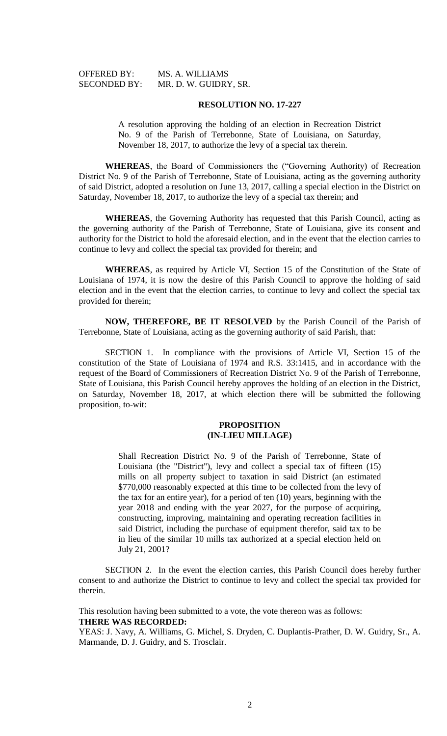| <b>OFFERED BY:</b>  | MS. |
|---------------------|-----|
| <b>SECONDED BY:</b> | MR. |

A. WILLIAMS D. W. GUIDRY, SR.

#### **RESOLUTION NO. 17-227**

A resolution approving the holding of an election in Recreation District No. 9 of the Parish of Terrebonne, State of Louisiana, on Saturday, November 18, 2017, to authorize the levy of a special tax therein.

**WHEREAS**, the Board of Commissioners the ("Governing Authority) of Recreation District No. 9 of the Parish of Terrebonne, State of Louisiana, acting as the governing authority of said District, adopted a resolution on June 13, 2017, calling a special election in the District on Saturday, November 18, 2017, to authorize the levy of a special tax therein; and

**WHEREAS**, the Governing Authority has requested that this Parish Council, acting as the governing authority of the Parish of Terrebonne, State of Louisiana, give its consent and authority for the District to hold the aforesaid election, and in the event that the election carries to continue to levy and collect the special tax provided for therein; and

**WHEREAS**, as required by Article VI, Section 15 of the Constitution of the State of Louisiana of 1974, it is now the desire of this Parish Council to approve the holding of said election and in the event that the election carries, to continue to levy and collect the special tax provided for therein;

**NOW, THEREFORE, BE IT RESOLVED** by the Parish Council of the Parish of Terrebonne, State of Louisiana, acting as the governing authority of said Parish, that:

SECTION 1. In compliance with the provisions of Article VI, Section 15 of the constitution of the State of Louisiana of 1974 and R.S. 33:1415, and in accordance with the request of the Board of Commissioners of Recreation District No. 9 of the Parish of Terrebonne, State of Louisiana, this Parish Council hereby approves the holding of an election in the District, on Saturday, November 18, 2017, at which election there will be submitted the following proposition, to-wit:

## **PROPOSITION (IN-LIEU MILLAGE)**

Shall Recreation District No. 9 of the Parish of Terrebonne, State of Louisiana (the "District"), levy and collect a special tax of fifteen (15) mills on all property subject to taxation in said District (an estimated \$770,000 reasonably expected at this time to be collected from the levy of the tax for an entire year), for a period of ten (10) years, beginning with the year 2018 and ending with the year 2027, for the purpose of acquiring, constructing, improving, maintaining and operating recreation facilities in said District, including the purchase of equipment therefor, said tax to be in lieu of the similar 10 mills tax authorized at a special election held on July 21, 2001?

SECTION 2. In the event the election carries, this Parish Council does hereby further consent to and authorize the District to continue to levy and collect the special tax provided for therein.

This resolution having been submitted to a vote, the vote thereon was as follows: **THERE WAS RECORDED:**

YEAS: J. Navy, A. Williams, G. Michel, S. Dryden, C. Duplantis-Prather, D. W. Guidry, Sr., A. Marmande, D. J. Guidry, and S. Trosclair.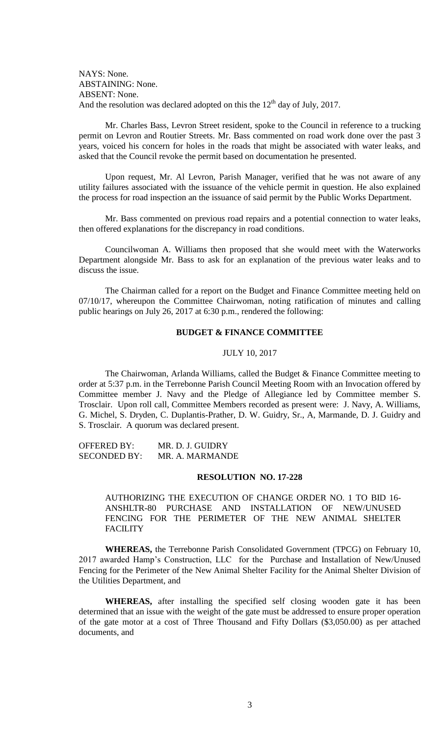NAYS: None. ABSTAINING: None. ABSENT: None. And the resolution was declared adopted on this the  $12<sup>th</sup>$  day of July, 2017.

Mr. Charles Bass, Levron Street resident, spoke to the Council in reference to a trucking permit on Levron and Routier Streets. Mr. Bass commented on road work done over the past 3 years, voiced his concern for holes in the roads that might be associated with water leaks, and asked that the Council revoke the permit based on documentation he presented.

Upon request, Mr. Al Levron, Parish Manager, verified that he was not aware of any utility failures associated with the issuance of the vehicle permit in question. He also explained the process for road inspection an the issuance of said permit by the Public Works Department.

Mr. Bass commented on previous road repairs and a potential connection to water leaks, then offered explanations for the discrepancy in road conditions.

Councilwoman A. Williams then proposed that she would meet with the Waterworks Department alongside Mr. Bass to ask for an explanation of the previous water leaks and to discuss the issue.

The Chairman called for a report on the Budget and Finance Committee meeting held on 07/10/17, whereupon the Committee Chairwoman, noting ratification of minutes and calling public hearings on July 26, 2017 at 6:30 p.m., rendered the following:

## **BUDGET & FINANCE COMMITTEE**

#### JULY 10, 2017

The Chairwoman, Arlanda Williams, called the Budget & Finance Committee meeting to order at 5:37 p.m. in the Terrebonne Parish Council Meeting Room with an Invocation offered by Committee member J. Navy and the Pledge of Allegiance led by Committee member S. Trosclair. Upon roll call, Committee Members recorded as present were: J. Navy, A. Williams, G. Michel, S. Dryden, C. Duplantis-Prather, D. W. Guidry, Sr., A, Marmande, D. J. Guidry and S. Trosclair. A quorum was declared present.

OFFERED BY: MR. D. J. GUIDRY SECONDED BY: MR. A. MARMANDE

#### **RESOLUTION NO. 17-228**

AUTHORIZING THE EXECUTION OF CHANGE ORDER NO. 1 TO BID 16- ANSHLTR-80 PURCHASE AND INSTALLATION OF NEW/UNUSED FENCING FOR THE PERIMETER OF THE NEW ANIMAL SHELTER **FACILITY** 

**WHEREAS,** the Terrebonne Parish Consolidated Government (TPCG) on February 10, 2017 awarded Hamp's Construction, LLC for the Purchase and Installation of New/Unused Fencing for the Perimeter of the New Animal Shelter Facility for the Animal Shelter Division of the Utilities Department, and

**WHEREAS,** after installing the specified self closing wooden gate it has been determined that an issue with the weight of the gate must be addressed to ensure proper operation of the gate motor at a cost of Three Thousand and Fifty Dollars (\$3,050.00) as per attached documents, and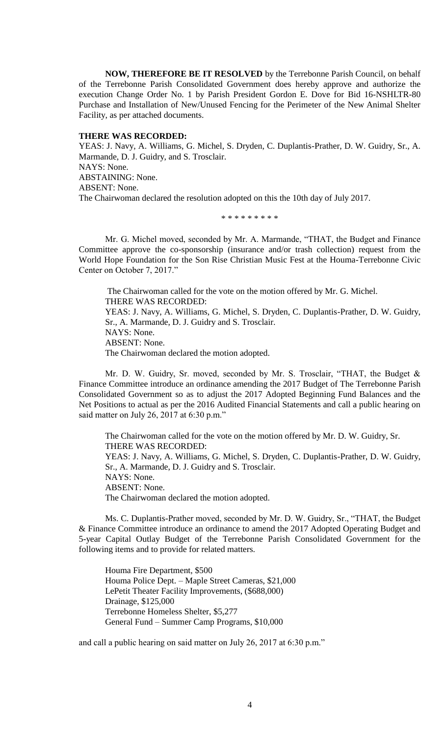**NOW, THEREFORE BE IT RESOLVED** by the Terrebonne Parish Council, on behalf of the Terrebonne Parish Consolidated Government does hereby approve and authorize the execution Change Order No. 1 by Parish President Gordon E. Dove for Bid 16-NSHLTR-80 Purchase and Installation of New/Unused Fencing for the Perimeter of the New Animal Shelter Facility, as per attached documents.

## **THERE WAS RECORDED:**

YEAS: J. Navy, A. Williams, G. Michel, S. Dryden, C. Duplantis-Prather, D. W. Guidry, Sr., A. Marmande, D. J. Guidry, and S. Trosclair. NAYS: None. ABSTAINING: None. ABSENT: None. The Chairwoman declared the resolution adopted on this the 10th day of July 2017.

\* \* \* \* \* \* \* \* \*

Mr. G. Michel moved, seconded by Mr. A. Marmande, "THAT, the Budget and Finance Committee approve the co-sponsorship (insurance and/or trash collection) request from the World Hope Foundation for the Son Rise Christian Music Fest at the Houma-Terrebonne Civic Center on October 7, 2017."

The Chairwoman called for the vote on the motion offered by Mr. G. Michel. THERE WAS RECORDED: YEAS: J. Navy, A. Williams, G. Michel, S. Dryden, C. Duplantis-Prather, D. W. Guidry, Sr., A. Marmande, D. J. Guidry and S. Trosclair. NAYS: None. ABSENT: None. The Chairwoman declared the motion adopted.

Mr. D. W. Guidry, Sr. moved, seconded by Mr. S. Trosclair, "THAT, the Budget & Finance Committee introduce an ordinance amending the 2017 Budget of The Terrebonne Parish Consolidated Government so as to adjust the 2017 Adopted Beginning Fund Balances and the Net Positions to actual as per the 2016 Audited Financial Statements and call a public hearing on said matter on July 26, 2017 at 6:30 p.m."

The Chairwoman called for the vote on the motion offered by Mr. D. W. Guidry, Sr. THERE WAS RECORDED: YEAS: J. Navy, A. Williams, G. Michel, S. Dryden, C. Duplantis-Prather, D. W. Guidry, Sr., A. Marmande, D. J. Guidry and S. Trosclair. NAYS: None. ABSENT: None. The Chairwoman declared the motion adopted.

Ms. C. Duplantis-Prather moved, seconded by Mr. D. W. Guidry, Sr., "THAT, the Budget & Finance Committee introduce an ordinance to amend the 2017 Adopted Operating Budget and 5-year Capital Outlay Budget of the Terrebonne Parish Consolidated Government for the following items and to provide for related matters.

Houma Fire Department, \$500 Houma Police Dept. – Maple Street Cameras, \$21,000 LePetit Theater Facility Improvements, (\$688,000) Drainage, \$125,000 Terrebonne Homeless Shelter, \$5,277 General Fund – Summer Camp Programs, \$10,000

and call a public hearing on said matter on July 26, 2017 at 6:30 p.m."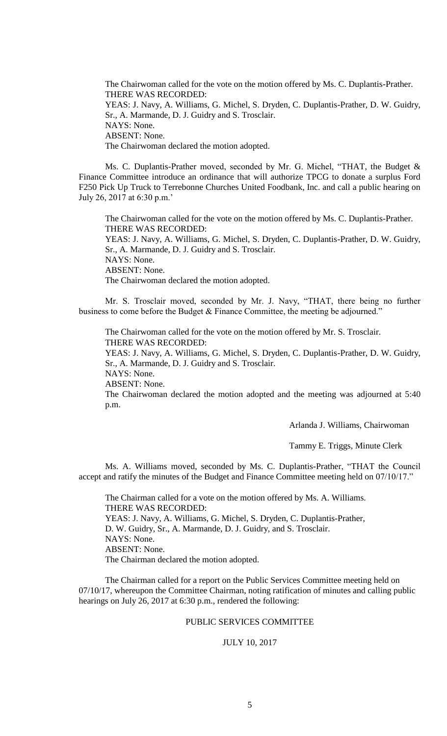The Chairwoman called for the vote on the motion offered by Ms. C. Duplantis-Prather. THERE WAS RECORDED: YEAS: J. Navy, A. Williams, G. Michel, S. Dryden, C. Duplantis-Prather, D. W. Guidry, Sr., A. Marmande, D. J. Guidry and S. Trosclair. NAYS: None. ABSENT: None. The Chairwoman declared the motion adopted.

Ms. C. Duplantis-Prather moved, seconded by Mr. G. Michel, "THAT, the Budget & Finance Committee introduce an ordinance that will authorize TPCG to donate a surplus Ford F250 Pick Up Truck to Terrebonne Churches United Foodbank, Inc. and call a public hearing on July 26, 2017 at 6:30 p.m.'

The Chairwoman called for the vote on the motion offered by Ms. C. Duplantis-Prather. THERE WAS RECORDED:

YEAS: J. Navy, A. Williams, G. Michel, S. Dryden, C. Duplantis-Prather, D. W. Guidry, Sr., A. Marmande, D. J. Guidry and S. Trosclair. NAYS: None.

ABSENT: None.

The Chairwoman declared the motion adopted.

Mr. S. Trosclair moved, seconded by Mr. J. Navy, "THAT, there being no further business to come before the Budget & Finance Committee, the meeting be adjourned."

The Chairwoman called for the vote on the motion offered by Mr. S. Trosclair. THERE WAS RECORDED:

YEAS: J. Navy, A. Williams, G. Michel, S. Dryden, C. Duplantis-Prather, D. W. Guidry, Sr., A. Marmande, D. J. Guidry and S. Trosclair.

NAYS: None. ABSENT: None.

The Chairwoman declared the motion adopted and the meeting was adjourned at 5:40

p.m.

Arlanda J. Williams, Chairwoman

Tammy E. Triggs, Minute Clerk

Ms. A. Williams moved, seconded by Ms. C. Duplantis-Prather, "THAT the Council accept and ratify the minutes of the Budget and Finance Committee meeting held on 07/10/17."

The Chairman called for a vote on the motion offered by Ms. A. Williams. THERE WAS RECORDED: YEAS: J. Navy, A. Williams, G. Michel, S. Dryden, C. Duplantis-Prather, D. W. Guidry, Sr., A. Marmande, D. J. Guidry, and S. Trosclair. NAYS: None. ABSENT: None. The Chairman declared the motion adopted.

The Chairman called for a report on the Public Services Committee meeting held on 07/10/17, whereupon the Committee Chairman, noting ratification of minutes and calling public hearings on July 26, 2017 at 6:30 p.m., rendered the following:

## PUBLIC SERVICES COMMITTEE

### JULY 10, 2017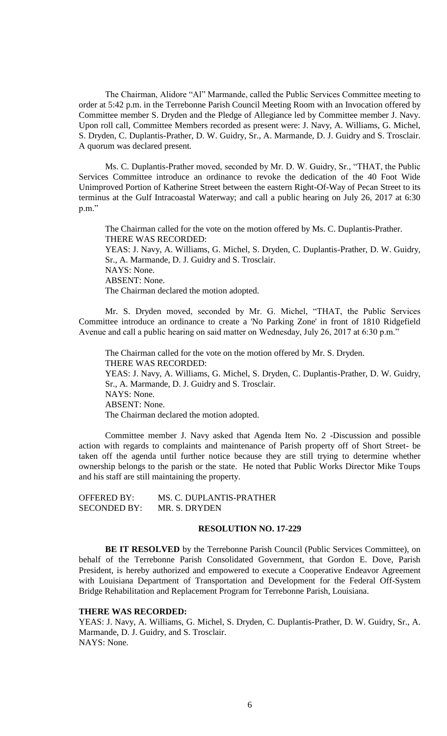The Chairman, Alidore "Al" Marmande, called the Public Services Committee meeting to order at 5:42 p.m. in the Terrebonne Parish Council Meeting Room with an Invocation offered by Committee member S. Dryden and the Pledge of Allegiance led by Committee member J. Navy. Upon roll call, Committee Members recorded as present were: J. Navy, A. Williams, G. Michel, S. Dryden, C. Duplantis-Prather, D. W. Guidry, Sr., A. Marmande, D. J. Guidry and S. Trosclair. A quorum was declared present.

Ms. C. Duplantis-Prather moved, seconded by Mr. D. W. Guidry, Sr., "THAT, the Public Services Committee introduce an ordinance to revoke the dedication of the 40 Foot Wide Unimproved Portion of Katherine Street between the eastern Right-Of-Way of Pecan Street to its terminus at the Gulf Intracoastal Waterway; and call a public hearing on July 26, 2017 at 6:30 p.m."

The Chairman called for the vote on the motion offered by Ms. C. Duplantis-Prather. THERE WAS RECORDED: YEAS: J. Navy, A. Williams, G. Michel, S. Dryden, C. Duplantis-Prather, D. W. Guidry, Sr., A. Marmande, D. J. Guidry and S. Trosclair. NAYS: None. ABSENT: None. The Chairman declared the motion adopted.

Mr. S. Dryden moved, seconded by Mr. G. Michel, "THAT, the Public Services Committee introduce an ordinance to create a 'No Parking Zone' in front of 1810 Ridgefield Avenue and call a public hearing on said matter on Wednesday, July 26, 2017 at 6:30 p.m."

The Chairman called for the vote on the motion offered by Mr. S. Dryden. THERE WAS RECORDED: YEAS: J. Navy, A. Williams, G. Michel, S. Dryden, C. Duplantis-Prather, D. W. Guidry, Sr., A. Marmande, D. J. Guidry and S. Trosclair. NAYS: None. ABSENT: None. The Chairman declared the motion adopted.

Committee member J. Navy asked that Agenda Item No. 2 -Discussion and possible action with regards to complaints and maintenance of Parish property off of Short Street- be taken off the agenda until further notice because they are still trying to determine whether ownership belongs to the parish or the state. He noted that Public Works Director Mike Toups and his staff are still maintaining the property.

| <b>OFFERED BY:</b>  | MS. C. DUPLANTIS-PRATHER |
|---------------------|--------------------------|
| <b>SECONDED BY:</b> | MR. S. DRYDEN            |

## **RESOLUTION NO. 17-229**

**BE IT RESOLVED** by the Terrebonne Parish Council (Public Services Committee), on behalf of the Terrebonne Parish Consolidated Government, that Gordon E. Dove, Parish President, is hereby authorized and empowered to execute a Cooperative Endeavor Agreement with Louisiana Department of Transportation and Development for the Federal Off-System Bridge Rehabilitation and Replacement Program for Terrebonne Parish, Louisiana.

## **THERE WAS RECORDED:**

YEAS: J. Navy, A. Williams, G. Michel, S. Dryden, C. Duplantis-Prather, D. W. Guidry, Sr., A. Marmande, D. J. Guidry, and S. Trosclair. NAYS: None.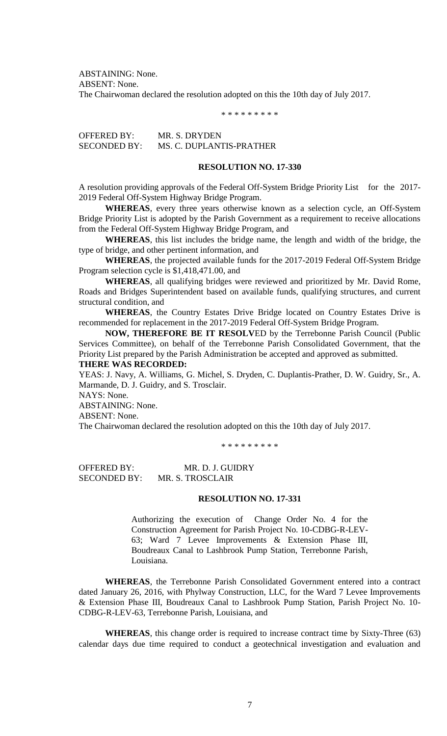ABSTAINING: None. ABSENT: None.

The Chairwoman declared the resolution adopted on this the 10th day of July 2017.

\* \* \* \* \* \* \* \* \*

OFFERED BY: MR. S. DRYDEN SECONDED BY: MS. C. DUPLANTIS-PRATHER

#### **RESOLUTION NO. 17-330**

A resolution providing approvals of the Federal Off-System Bridge Priority List for the 2017-2019 Federal Off-System Highway Bridge Program.

**WHEREAS**, every three years otherwise known as a selection cycle, an Off-System Bridge Priority List is adopted by the Parish Government as a requirement to receive allocations from the Federal Off-System Highway Bridge Program, and

**WHEREAS**, this list includes the bridge name, the length and width of the bridge, the type of bridge, and other pertinent information, and

**WHEREAS**, the projected available funds for the 2017-2019 Federal Off-System Bridge Program selection cycle is \$1,418,471.00, and

**WHEREAS**, all qualifying bridges were reviewed and prioritized by Mr. David Rome, Roads and Bridges Superintendent based on available funds, qualifying structures, and current structural condition, and

**WHEREAS**, the Country Estates Drive Bridge located on Country Estates Drive is recommended for replacement in the 2017-2019 Federal Off-System Bridge Program.

**NOW, THEREFORE BE IT RESOLV**ED by the Terrebonne Parish Council (Public Services Committee), on behalf of the Terrebonne Parish Consolidated Government, that the Priority List prepared by the Parish Administration be accepted and approved as submitted. **THERE WAS RECORDED:**

YEAS: J. Navy, A. Williams, G. Michel, S. Dryden, C. Duplantis-Prather, D. W. Guidry, Sr., A. Marmande, D. J. Guidry, and S. Trosclair.

NAYS: None.

ABSTAINING: None.

ABSENT: None.

The Chairwoman declared the resolution adopted on this the 10th day of July 2017.

\* \* \* \* \* \* \* \* \*

OFFERED BY: MR. D. J. GUIDRY SECONDED BY: MR. S. TROSCLAIR

## **RESOLUTION NO. 17-331**

Authorizing the execution of Change Order No. 4 for the Construction Agreement for Parish Project No. 10-CDBG-R-LEV-63; Ward 7 Levee Improvements & Extension Phase III, Boudreaux Canal to Lashbrook Pump Station, Terrebonne Parish, Louisiana.

**WHEREAS**, the Terrebonne Parish Consolidated Government entered into a contract dated January 26, 2016, with Phylway Construction, LLC, for the Ward 7 Levee Improvements & Extension Phase III, Boudreaux Canal to Lashbrook Pump Station, Parish Project No. 10- CDBG-R-LEV-63, Terrebonne Parish, Louisiana, and

**WHEREAS**, this change order is required to increase contract time by Sixty-Three (63) calendar days due time required to conduct a geotechnical investigation and evaluation and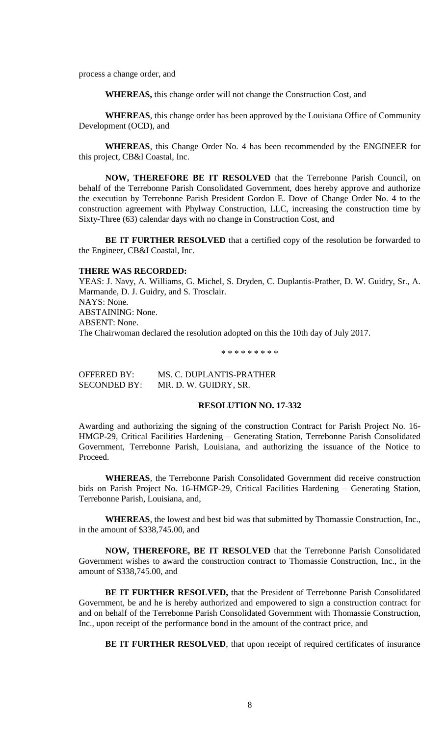process a change order, and

**WHEREAS,** this change order will not change the Construction Cost, and

**WHEREAS**, this change order has been approved by the Louisiana Office of Community Development (OCD), and

**WHEREAS**, this Change Order No. 4 has been recommended by the ENGINEER for this project, CB&I Coastal, Inc.

**NOW, THEREFORE BE IT RESOLVED** that the Terrebonne Parish Council, on behalf of the Terrebonne Parish Consolidated Government, does hereby approve and authorize the execution by Terrebonne Parish President Gordon E. Dove of Change Order No. 4 to the construction agreement with Phylway Construction, LLC, increasing the construction time by Sixty-Three (63) calendar days with no change in Construction Cost, and

**BE IT FURTHER RESOLVED** that a certified copy of the resolution be forwarded to the Engineer, CB&I Coastal, Inc.

#### **THERE WAS RECORDED:**

YEAS: J. Navy, A. Williams, G. Michel, S. Dryden, C. Duplantis-Prather, D. W. Guidry, Sr., A. Marmande, D. J. Guidry, and S. Trosclair. NAYS: None. ABSTAINING: None. ABSENT: None. The Chairwoman declared the resolution adopted on this the 10th day of July 2017.

\* \* \* \* \* \* \* \* \*

OFFERED BY: MS. C. DUPLANTIS-PRATHER SECONDED BY: MR. D. W. GUIDRY, SR.

## **RESOLUTION NO. 17-332**

Awarding and authorizing the signing of the construction Contract for Parish Project No. 16- HMGP-29, Critical Facilities Hardening – Generating Station, Terrebonne Parish Consolidated Government, Terrebonne Parish, Louisiana, and authorizing the issuance of the Notice to Proceed.

**WHEREAS**, the Terrebonne Parish Consolidated Government did receive construction bids on Parish Project No. 16-HMGP-29, Critical Facilities Hardening – Generating Station, Terrebonne Parish, Louisiana, and,

**WHEREAS**, the lowest and best bid was that submitted by Thomassie Construction, Inc., in the amount of \$338,745.00, and

**NOW, THEREFORE, BE IT RESOLVED** that the Terrebonne Parish Consolidated Government wishes to award the construction contract to Thomassie Construction, Inc., in the amount of \$338,745.00, and

**BE IT FURTHER RESOLVED,** that the President of Terrebonne Parish Consolidated Government, be and he is hereby authorized and empowered to sign a construction contract for and on behalf of the Terrebonne Parish Consolidated Government with Thomassie Construction, Inc., upon receipt of the performance bond in the amount of the contract price, and

**BE IT FURTHER RESOLVED**, that upon receipt of required certificates of insurance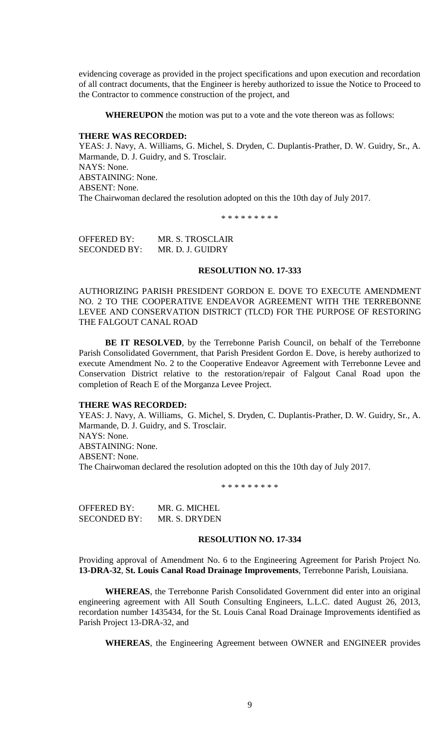evidencing coverage as provided in the project specifications and upon execution and recordation of all contract documents, that the Engineer is hereby authorized to issue the Notice to Proceed to the Contractor to commence construction of the project, and

**WHEREUPON** the motion was put to a vote and the vote thereon was as follows:

#### **THERE WAS RECORDED:**

YEAS: J. Navy, A. Williams, G. Michel, S. Dryden, C. Duplantis-Prather, D. W. Guidry, Sr., A. Marmande, D. J. Guidry, and S. Trosclair. NAYS: None. ABSTAINING: None. ABSENT: None. The Chairwoman declared the resolution adopted on this the 10th day of July 2017.

\* \* \* \* \* \* \* \*

OFFERED BY: MR. S. TROSCLAIR SECONDED BY: MR. D. J. GUIDRY

#### **RESOLUTION NO. 17-333**

AUTHORIZING PARISH PRESIDENT GORDON E. DOVE TO EXECUTE AMENDMENT NO. 2 TO THE COOPERATIVE ENDEAVOR AGREEMENT WITH THE TERREBONNE LEVEE AND CONSERVATION DISTRICT (TLCD) FOR THE PURPOSE OF RESTORING THE FALGOUT CANAL ROAD

**BE IT RESOLVED**, by the Terrebonne Parish Council, on behalf of the Terrebonne Parish Consolidated Government, that Parish President Gordon E. Dove, is hereby authorized to execute Amendment No. 2 to the Cooperative Endeavor Agreement with Terrebonne Levee and Conservation District relative to the restoration/repair of Falgout Canal Road upon the completion of Reach E of the Morganza Levee Project.

#### **THERE WAS RECORDED:**

YEAS: J. Navy, A. Williams, G. Michel, S. Dryden, C. Duplantis-Prather, D. W. Guidry, Sr., A. Marmande, D. J. Guidry, and S. Trosclair. NAYS: None.

ABSTAINING: None. ABSENT: None. The Chairwoman declared the resolution adopted on this the 10th day of July 2017.

\* \* \* \* \* \* \* \* \*

OFFERED BY: MR. G. MICHEL SECONDED BY: MR. S. DRYDEN

### **RESOLUTION NO. 17-334**

Providing approval of Amendment No. 6 to the Engineering Agreement for Parish Project No. **13-DRA-32**, **St. Louis Canal Road Drainage Improvements**, Terrebonne Parish, Louisiana.

**WHEREAS**, the Terrebonne Parish Consolidated Government did enter into an original engineering agreement with All South Consulting Engineers, L.L.C. dated August 26, 2013, recordation number 1435434, for the St. Louis Canal Road Drainage Improvements identified as Parish Project 13-DRA-32, and

**WHEREAS**, the Engineering Agreement between OWNER and ENGINEER provides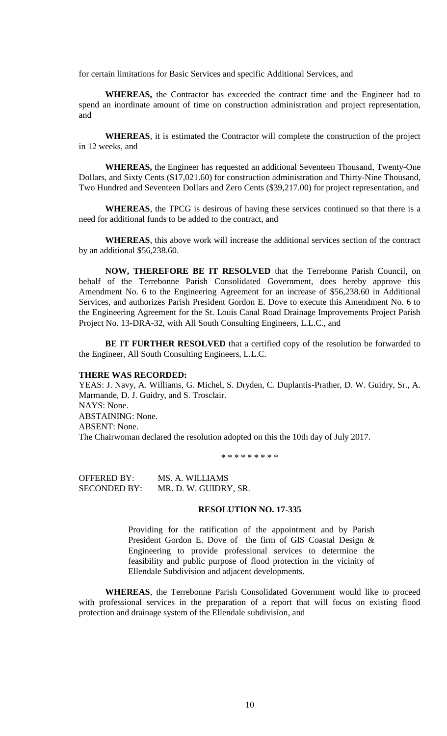for certain limitations for Basic Services and specific Additional Services, and

**WHEREAS,** the Contractor has exceeded the contract time and the Engineer had to spend an inordinate amount of time on construction administration and project representation, and

**WHEREAS**, it is estimated the Contractor will complete the construction of the project in 12 weeks, and

**WHEREAS,** the Engineer has requested an additional Seventeen Thousand, Twenty-One Dollars, and Sixty Cents (\$17,021.60) for construction administration and Thirty-Nine Thousand, Two Hundred and Seventeen Dollars and Zero Cents (\$39,217.00) for project representation, and

**WHEREAS**, the TPCG is desirous of having these services continued so that there is a need for additional funds to be added to the contract, and

**WHEREAS**, this above work will increase the additional services section of the contract by an additional \$56,238.60.

**NOW, THEREFORE BE IT RESOLVED** that the Terrebonne Parish Council, on behalf of the Terrebonne Parish Consolidated Government, does hereby approve this Amendment No. 6 to the Engineering Agreement for an increase of \$56,238.60 in Additional Services, and authorizes Parish President Gordon E. Dove to execute this Amendment No. 6 to the Engineering Agreement for the St. Louis Canal Road Drainage Improvements Project Parish Project No. 13-DRA-32, with All South Consulting Engineers, L.L.C., and

**BE IT FURTHER RESOLVED** that a certified copy of the resolution be forwarded to the Engineer, All South Consulting Engineers, L.L.C.

#### **THERE WAS RECORDED:**

YEAS: J. Navy, A. Williams, G. Michel, S. Dryden, C. Duplantis-Prather, D. W. Guidry, Sr., A. Marmande, D. J. Guidry, and S. Trosclair. NAYS: None. ABSTAINING: None. ABSENT: None. The Chairwoman declared the resolution adopted on this the 10th day of July 2017.

\* \* \* \* \* \* \* \* \*

OFFERED BY: MS. A. WILLIAMS SECONDED BY: MR. D. W. GUIDRY, SR.

## **RESOLUTION NO. 17-335**

Providing for the ratification of the appointment and by Parish President Gordon E. Dove of the firm of GIS Coastal Design & Engineering to provide professional services to determine the feasibility and public purpose of flood protection in the vicinity of Ellendale Subdivision and adjacent developments.

**WHEREAS**, the Terrebonne Parish Consolidated Government would like to proceed with professional services in the preparation of a report that will focus on existing flood protection and drainage system of the Ellendale subdivision, and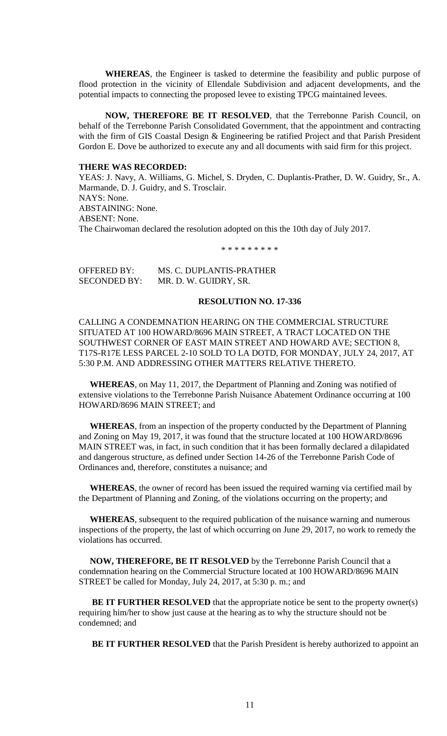**WHEREAS**, the Engineer is tasked to determine the feasibility and public purpose of flood protection in the vicinity of Ellendale Subdivision and adjacent developments, and the potential impacts to connecting the proposed levee to existing TPCG maintained levees.

**NOW, THEREFORE BE IT RESOLVED**, that the Terrebonne Parish Council, on behalf of the Terrebonne Parish Consolidated Government, that the appointment and contracting with the firm of GIS Coastal Design & Engineering be ratified Project and that Parish President Gordon E. Dove be authorized to execute any and all documents with said firm for this project.

## **THERE WAS RECORDED:**

YEAS: J. Navy, A. Williams, G. Michel, S. Dryden, C. Duplantis-Prather, D. W. Guidry, Sr., A. Marmande, D. J. Guidry, and S. Trosclair. NAYS: None. ABSTAINING: None. ABSENT: None. The Chairwoman declared the resolution adopted on this the 10th day of July 2017.

\* \* \* \* \* \* \* \* \*

| OFFERED BY:         | MS. C. DUPLANTIS-PRATHER |
|---------------------|--------------------------|
| <b>SECONDED BY:</b> | MR. D. W. GUIDRY, SR.    |

#### **RESOLUTION NO. 17-336**

CALLING A CONDEMNATION HEARING ON THE COMMERCIAL STRUCTURE SITUATED AT 100 HOWARD/8696 MAIN STREET, A TRACT LOCATED ON THE SOUTHWEST CORNER OF EAST MAIN STREET AND HOWARD AVE; SECTION 8, T17S-R17E LESS PARCEL 2-10 SOLD TO LA DOTD, FOR MONDAY, JULY 24, 2017, AT 5:30 P.M. AND ADDRESSING OTHER MATTERS RELATIVE THERETO.

 **WHEREAS**, on May 11, 2017, the Department of Planning and Zoning was notified of extensive violations to the Terrebonne Parish Nuisance Abatement Ordinance occurring at 100 HOWARD/8696 MAIN STREET; and

 **WHEREAS**, from an inspection of the property conducted by the Department of Planning and Zoning on May 19, 2017, it was found that the structure located at 100 HOWARD/8696 MAIN STREET was, in fact, in such condition that it has been formally declared a dilapidated and dangerous structure, as defined under Section 14-26 of the Terrebonne Parish Code of Ordinances and, therefore, constitutes a nuisance; and

 **WHEREAS**, the owner of record has been issued the required warning via certified mail by the Department of Planning and Zoning, of the violations occurring on the property; and

 **WHEREAS**, subsequent to the required publication of the nuisance warning and numerous inspections of the property, the last of which occurring on June 29, 2017, no work to remedy the violations has occurred.

 **NOW, THEREFORE, BE IT RESOLVED** by the Terrebonne Parish Council that a condemnation hearing on the Commercial Structure located at 100 HOWARD/8696 MAIN STREET be called for Monday, July 24, 2017, at 5:30 p. m.; and

**BE IT FURTHER RESOLVED** that the appropriate notice be sent to the property owner(s) requiring him/her to show just cause at the hearing as to why the structure should not be condemned; and

**BE IT FURTHER RESOLVED** that the Parish President is hereby authorized to appoint an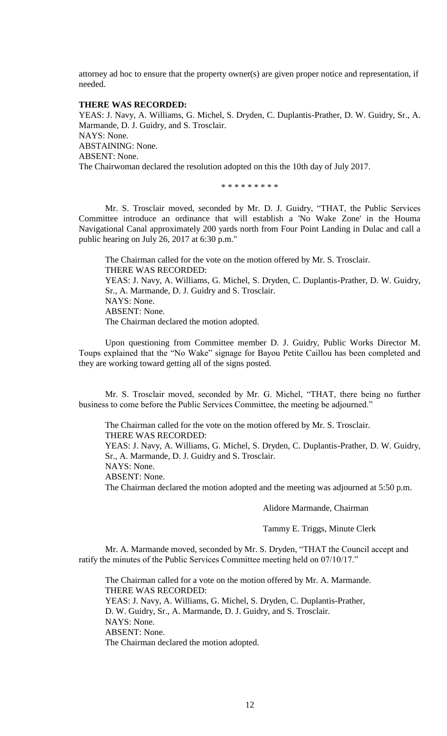attorney ad hoc to ensure that the property owner(s) are given proper notice and representation, if needed.

### **THERE WAS RECORDED:**

YEAS: J. Navy, A. Williams, G. Michel, S. Dryden, C. Duplantis-Prather, D. W. Guidry, Sr., A. Marmande, D. J. Guidry, and S. Trosclair. NAYS: None. ABSTAINING: None. ABSENT: None. The Chairwoman declared the resolution adopted on this the 10th day of July 2017.

\* \* \* \* \* \* \* \* \*

Mr. S. Trosclair moved, seconded by Mr. D. J. Guidry, "THAT, the Public Services Committee introduce an ordinance that will establish a 'No Wake Zone' in the Houma Navigational Canal approximately 200 yards north from Four Point Landing in Dulac and call a public hearing on July 26, 2017 at 6:30 p.m."

The Chairman called for the vote on the motion offered by Mr. S. Trosclair. THERE WAS RECORDED: YEAS: J. Navy, A. Williams, G. Michel, S. Dryden, C. Duplantis-Prather, D. W. Guidry, Sr., A. Marmande, D. J. Guidry and S. Trosclair. NAYS: None. ABSENT: None. The Chairman declared the motion adopted.

Upon questioning from Committee member D. J. Guidry, Public Works Director M. Toups explained that the "No Wake" signage for Bayou Petite Caillou has been completed and they are working toward getting all of the signs posted.

Mr. S. Trosclair moved, seconded by Mr. G. Michel, "THAT, there being no further business to come before the Public Services Committee, the meeting be adjourned."

The Chairman called for the vote on the motion offered by Mr. S. Trosclair. THERE WAS RECORDED:

YEAS: J. Navy, A. Williams, G. Michel, S. Dryden, C. Duplantis-Prather, D. W. Guidry, Sr., A. Marmande, D. J. Guidry and S. Trosclair.

NAYS: None.

ABSENT: None.

The Chairman declared the motion adopted and the meeting was adjourned at 5:50 p.m.

## Alidore Marmande, Chairman

Tammy E. Triggs, Minute Clerk

Mr. A. Marmande moved, seconded by Mr. S. Dryden, "THAT the Council accept and ratify the minutes of the Public Services Committee meeting held on 07/10/17."

The Chairman called for a vote on the motion offered by Mr. A. Marmande. THERE WAS RECORDED: YEAS: J. Navy, A. Williams, G. Michel, S. Dryden, C. Duplantis-Prather, D. W. Guidry, Sr., A. Marmande, D. J. Guidry, and S. Trosclair. NAYS: None. ABSENT: None. The Chairman declared the motion adopted.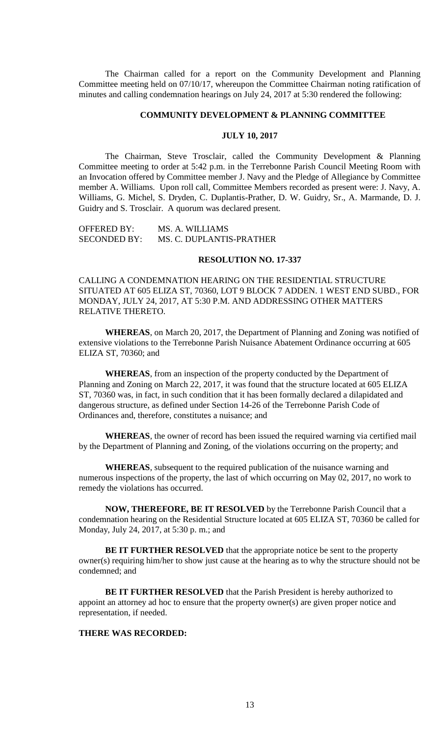The Chairman called for a report on the Community Development and Planning Committee meeting held on 07/10/17, whereupon the Committee Chairman noting ratification of minutes and calling condemnation hearings on July 24, 2017 at 5:30 rendered the following:

## **COMMUNITY DEVELOPMENT & PLANNING COMMITTEE**

## **JULY 10, 2017**

The Chairman, Steve Trosclair, called the Community Development & Planning Committee meeting to order at 5:42 p.m. in the Terrebonne Parish Council Meeting Room with an Invocation offered by Committee member J. Navy and the Pledge of Allegiance by Committee member A. Williams. Upon roll call, Committee Members recorded as present were: J. Navy, A. Williams, G. Michel, S. Dryden, C. Duplantis-Prather, D. W. Guidry, Sr., A. Marmande, D. J. Guidry and S. Trosclair. A quorum was declared present.

OFFERED BY: MS. A. WILLIAMS SECONDED BY: MS. C. DUPLANTIS-PRATHER

#### **RESOLUTION NO. 17-337**

CALLING A CONDEMNATION HEARING ON THE RESIDENTIAL STRUCTURE SITUATED AT 605 ELIZA ST, 70360, LOT 9 BLOCK 7 ADDEN. 1 WEST END SUBD., FOR MONDAY, JULY 24, 2017, AT 5:30 P.M. AND ADDRESSING OTHER MATTERS RELATIVE THERETO.

**WHEREAS**, on March 20, 2017, the Department of Planning and Zoning was notified of extensive violations to the Terrebonne Parish Nuisance Abatement Ordinance occurring at 605 ELIZA ST, 70360; and

**WHEREAS**, from an inspection of the property conducted by the Department of Planning and Zoning on March 22, 2017, it was found that the structure located at 605 ELIZA ST, 70360 was, in fact, in such condition that it has been formally declared a dilapidated and dangerous structure, as defined under Section 14-26 of the Terrebonne Parish Code of Ordinances and, therefore, constitutes a nuisance; and

**WHEREAS**, the owner of record has been issued the required warning via certified mail by the Department of Planning and Zoning, of the violations occurring on the property; and

**WHEREAS**, subsequent to the required publication of the nuisance warning and numerous inspections of the property, the last of which occurring on May 02, 2017, no work to remedy the violations has occurred.

**NOW, THEREFORE, BE IT RESOLVED** by the Terrebonne Parish Council that a condemnation hearing on the Residential Structure located at 605 ELIZA ST, 70360 be called for Monday, July 24, 2017, at 5:30 p. m.; and

**BE IT FURTHER RESOLVED** that the appropriate notice be sent to the property owner(s) requiring him/her to show just cause at the hearing as to why the structure should not be condemned; and

**BE IT FURTHER RESOLVED** that the Parish President is hereby authorized to appoint an attorney ad hoc to ensure that the property owner(s) are given proper notice and representation, if needed.

#### **THERE WAS RECORDED:**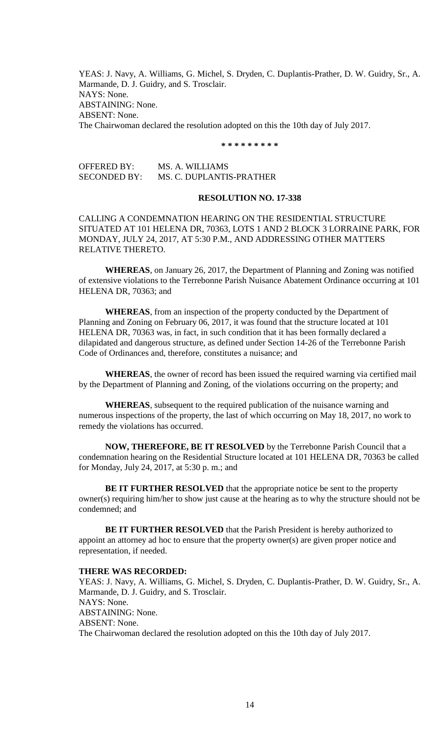YEAS: J. Navy, A. Williams, G. Michel, S. Dryden, C. Duplantis-Prather, D. W. Guidry, Sr., A. Marmande, D. J. Guidry, and S. Trosclair. NAYS: None. ABSTAINING: None. ABSENT: None. The Chairwoman declared the resolution adopted on this the 10th day of July 2017.

**\* \* \* \* \* \* \* \* \***

OFFERED BY: MS. A. WILLIAMS SECONDED BY: MS. C. DUPLANTIS-PRATHER

#### **RESOLUTION NO. 17-338**

CALLING A CONDEMNATION HEARING ON THE RESIDENTIAL STRUCTURE SITUATED AT 101 HELENA DR, 70363, LOTS 1 AND 2 BLOCK 3 LORRAINE PARK, FOR MONDAY, JULY 24, 2017, AT 5:30 P.M., AND ADDRESSING OTHER MATTERS RELATIVE THERETO.

**WHEREAS**, on January 26, 2017, the Department of Planning and Zoning was notified of extensive violations to the Terrebonne Parish Nuisance Abatement Ordinance occurring at 101 HELENA DR, 70363; and

**WHEREAS**, from an inspection of the property conducted by the Department of Planning and Zoning on February 06, 2017, it was found that the structure located at 101 HELENA DR, 70363 was, in fact, in such condition that it has been formally declared a dilapidated and dangerous structure, as defined under Section 14-26 of the Terrebonne Parish Code of Ordinances and, therefore, constitutes a nuisance; and

**WHEREAS**, the owner of record has been issued the required warning via certified mail by the Department of Planning and Zoning, of the violations occurring on the property; and

**WHEREAS**, subsequent to the required publication of the nuisance warning and numerous inspections of the property, the last of which occurring on May 18, 2017, no work to remedy the violations has occurred.

**NOW, THEREFORE, BE IT RESOLVED** by the Terrebonne Parish Council that a condemnation hearing on the Residential Structure located at 101 HELENA DR, 70363 be called for Monday, July 24, 2017, at 5:30 p. m.; and

**BE IT FURTHER RESOLVED** that the appropriate notice be sent to the property owner(s) requiring him/her to show just cause at the hearing as to why the structure should not be condemned; and

**BE IT FURTHER RESOLVED** that the Parish President is hereby authorized to appoint an attorney ad hoc to ensure that the property owner(s) are given proper notice and representation, if needed.

#### **THERE WAS RECORDED:**

YEAS: J. Navy, A. Williams, G. Michel, S. Dryden, C. Duplantis-Prather, D. W. Guidry, Sr., A. Marmande, D. J. Guidry, and S. Trosclair. NAYS: None. ABSTAINING: None. ABSENT: None. The Chairwoman declared the resolution adopted on this the 10th day of July 2017.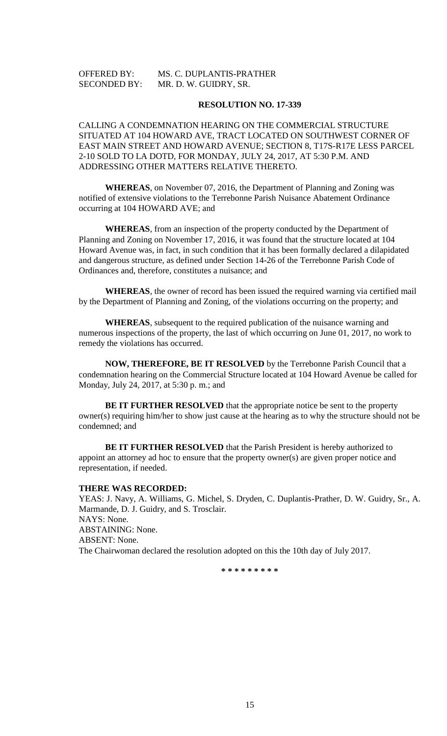## OFFERED BY: MS. C. DUPLANTIS-PRATHER SECONDED BY: MR. D. W. GUIDRY, SR.

### **RESOLUTION NO. 17-339**

CALLING A CONDEMNATION HEARING ON THE COMMERCIAL STRUCTURE SITUATED AT 104 HOWARD AVE, TRACT LOCATED ON SOUTHWEST CORNER OF EAST MAIN STREET AND HOWARD AVENUE; SECTION 8, T17S-R17E LESS PARCEL 2-10 SOLD TO LA DOTD, FOR MONDAY, JULY 24, 2017, AT 5:30 P.M. AND ADDRESSING OTHER MATTERS RELATIVE THERETO.

**WHEREAS**, on November 07, 2016, the Department of Planning and Zoning was notified of extensive violations to the Terrebonne Parish Nuisance Abatement Ordinance occurring at 104 HOWARD AVE; and

**WHEREAS**, from an inspection of the property conducted by the Department of Planning and Zoning on November 17, 2016, it was found that the structure located at 104 Howard Avenue was, in fact, in such condition that it has been formally declared a dilapidated and dangerous structure, as defined under Section 14-26 of the Terrebonne Parish Code of Ordinances and, therefore, constitutes a nuisance; and

**WHEREAS**, the owner of record has been issued the required warning via certified mail by the Department of Planning and Zoning, of the violations occurring on the property; and

**WHEREAS**, subsequent to the required publication of the nuisance warning and numerous inspections of the property, the last of which occurring on June 01, 2017, no work to remedy the violations has occurred.

**NOW, THEREFORE, BE IT RESOLVED** by the Terrebonne Parish Council that a condemnation hearing on the Commercial Structure located at 104 Howard Avenue be called for Monday, July 24, 2017, at 5:30 p. m.; and

**BE IT FURTHER RESOLVED** that the appropriate notice be sent to the property owner(s) requiring him/her to show just cause at the hearing as to why the structure should not be condemned; and

**BE IT FURTHER RESOLVED** that the Parish President is hereby authorized to appoint an attorney ad hoc to ensure that the property owner(s) are given proper notice and representation, if needed.

## **THERE WAS RECORDED:**

YEAS: J. Navy, A. Williams, G. Michel, S. Dryden, C. Duplantis-Prather, D. W. Guidry, Sr., A. Marmande, D. J. Guidry, and S. Trosclair. NAYS: None. ABSTAINING: None. ABSENT: None. The Chairwoman declared the resolution adopted on this the 10th day of July 2017.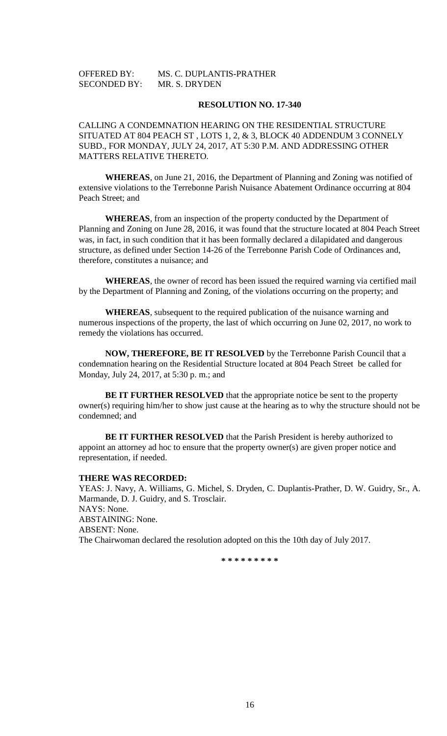| <b>OFFERED BY:</b>  | MS. C. DUPLANTIS-PRATHER |
|---------------------|--------------------------|
| <b>SECONDED BY:</b> | MR. S. DRYDEN            |

CALLING A CONDEMNATION HEARING ON THE RESIDENTIAL STRUCTURE SITUATED AT 804 PEACH ST , LOTS 1, 2, & 3, BLOCK 40 ADDENDUM 3 CONNELY SUBD., FOR MONDAY, JULY 24, 2017, AT 5:30 P.M. AND ADDRESSING OTHER MATTERS RELATIVE THERETO.

**WHEREAS**, on June 21, 2016, the Department of Planning and Zoning was notified of extensive violations to the Terrebonne Parish Nuisance Abatement Ordinance occurring at 804 Peach Street; and

**WHEREAS**, from an inspection of the property conducted by the Department of Planning and Zoning on June 28, 2016, it was found that the structure located at 804 Peach Street was, in fact, in such condition that it has been formally declared a dilapidated and dangerous structure, as defined under Section 14-26 of the Terrebonne Parish Code of Ordinances and, therefore, constitutes a nuisance; and

**WHEREAS**, the owner of record has been issued the required warning via certified mail by the Department of Planning and Zoning, of the violations occurring on the property; and

**WHEREAS**, subsequent to the required publication of the nuisance warning and numerous inspections of the property, the last of which occurring on June 02, 2017, no work to remedy the violations has occurred.

**NOW, THEREFORE, BE IT RESOLVED** by the Terrebonne Parish Council that a condemnation hearing on the Residential Structure located at 804 Peach Street be called for Monday, July 24, 2017, at 5:30 p. m.; and

**BE IT FURTHER RESOLVED** that the appropriate notice be sent to the property owner(s) requiring him/her to show just cause at the hearing as to why the structure should not be condemned; and

**BE IT FURTHER RESOLVED** that the Parish President is hereby authorized to appoint an attorney ad hoc to ensure that the property owner(s) are given proper notice and representation, if needed.

#### **THERE WAS RECORDED:**

YEAS: J. Navy, A. Williams, G. Michel, S. Dryden, C. Duplantis-Prather, D. W. Guidry, Sr., A. Marmande, D. J. Guidry, and S. Trosclair. NAYS: None. ABSTAINING: None. ABSENT: None. The Chairwoman declared the resolution adopted on this the 10th day of July 2017.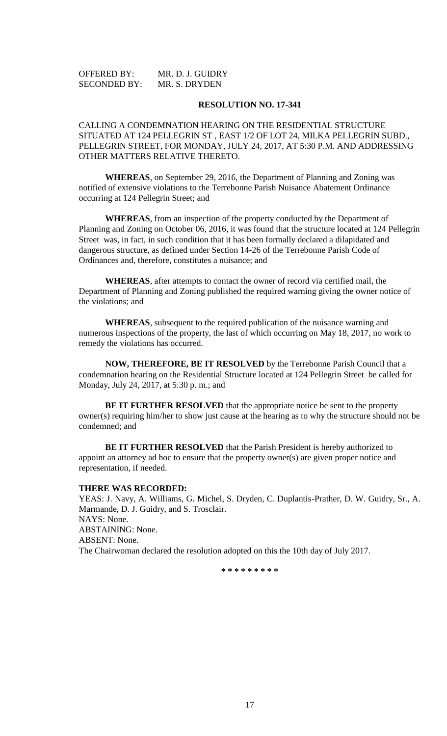| <b>OFFERED BY:</b>  | MR. D. J. GUIDRY |
|---------------------|------------------|
| <b>SECONDED BY:</b> | MR. S. DRYDEN    |

CALLING A CONDEMNATION HEARING ON THE RESIDENTIAL STRUCTURE SITUATED AT 124 PELLEGRIN ST , EAST 1/2 OF LOT 24, MILKA PELLEGRIN SUBD., PELLEGRIN STREET, FOR MONDAY, JULY 24, 2017, AT 5:30 P.M. AND ADDRESSING OTHER MATTERS RELATIVE THERETO.

**WHEREAS**, on September 29, 2016, the Department of Planning and Zoning was notified of extensive violations to the Terrebonne Parish Nuisance Abatement Ordinance occurring at 124 Pellegrin Street; and

**WHEREAS**, from an inspection of the property conducted by the Department of Planning and Zoning on October 06, 2016, it was found that the structure located at 124 Pellegrin Street was, in fact, in such condition that it has been formally declared a dilapidated and dangerous structure, as defined under Section 14-26 of the Terrebonne Parish Code of Ordinances and, therefore, constitutes a nuisance; and

**WHEREAS**, after attempts to contact the owner of record via certified mail, the Department of Planning and Zoning published the required warning giving the owner notice of the violations; and

**WHEREAS**, subsequent to the required publication of the nuisance warning and numerous inspections of the property, the last of which occurring on May 18, 2017, no work to remedy the violations has occurred.

**NOW, THEREFORE, BE IT RESOLVED** by the Terrebonne Parish Council that a condemnation hearing on the Residential Structure located at 124 Pellegrin Street be called for Monday, July 24, 2017, at 5:30 p. m.; and

**BE IT FURTHER RESOLVED** that the appropriate notice be sent to the property owner(s) requiring him/her to show just cause at the hearing as to why the structure should not be condemned; and

**BE IT FURTHER RESOLVED** that the Parish President is hereby authorized to appoint an attorney ad hoc to ensure that the property owner(s) are given proper notice and representation, if needed.

#### **THERE WAS RECORDED:**

YEAS: J. Navy, A. Williams, G. Michel, S. Dryden, C. Duplantis-Prather, D. W. Guidry, Sr., A. Marmande, D. J. Guidry, and S. Trosclair. NAYS: None. ABSTAINING: None. ABSENT: None. The Chairwoman declared the resolution adopted on this the 10th day of July 2017.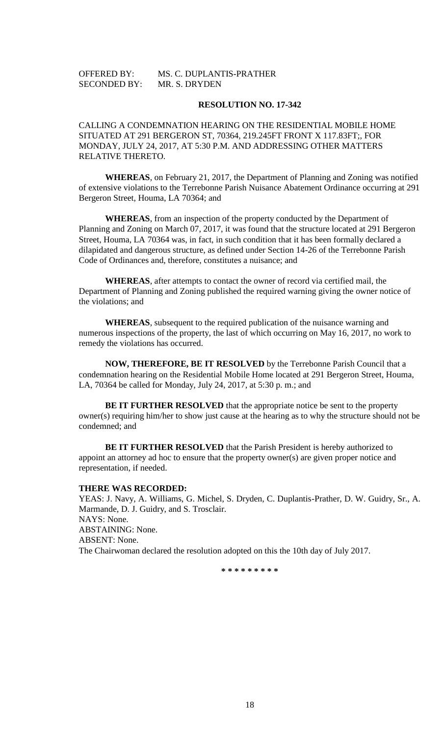| <b>OFFERED BY:</b>  | MS. C. DUPLANTIS-PRATHER |
|---------------------|--------------------------|
| <b>SECONDED BY:</b> | MR. S. DRYDEN            |

CALLING A CONDEMNATION HEARING ON THE RESIDENTIAL MOBILE HOME SITUATED AT 291 BERGERON ST, 70364, 219.245FT FRONT X 117.83FT;, FOR MONDAY, JULY 24, 2017, AT 5:30 P.M. AND ADDRESSING OTHER MATTERS RELATIVE THERETO.

**WHEREAS**, on February 21, 2017, the Department of Planning and Zoning was notified of extensive violations to the Terrebonne Parish Nuisance Abatement Ordinance occurring at 291 Bergeron Street, Houma, LA 70364; and

**WHEREAS**, from an inspection of the property conducted by the Department of Planning and Zoning on March 07, 2017, it was found that the structure located at 291 Bergeron Street, Houma, LA 70364 was, in fact, in such condition that it has been formally declared a dilapidated and dangerous structure, as defined under Section 14-26 of the Terrebonne Parish Code of Ordinances and, therefore, constitutes a nuisance; and

**WHEREAS**, after attempts to contact the owner of record via certified mail, the Department of Planning and Zoning published the required warning giving the owner notice of the violations; and

**WHEREAS**, subsequent to the required publication of the nuisance warning and numerous inspections of the property, the last of which occurring on May 16, 2017, no work to remedy the violations has occurred.

**NOW, THEREFORE, BE IT RESOLVED** by the Terrebonne Parish Council that a condemnation hearing on the Residential Mobile Home located at 291 Bergeron Street, Houma, LA, 70364 be called for Monday, July 24, 2017, at 5:30 p. m.; and

**BE IT FURTHER RESOLVED** that the appropriate notice be sent to the property owner(s) requiring him/her to show just cause at the hearing as to why the structure should not be condemned; and

**BE IT FURTHER RESOLVED** that the Parish President is hereby authorized to appoint an attorney ad hoc to ensure that the property owner(s) are given proper notice and representation, if needed.

#### **THERE WAS RECORDED:**

YEAS: J. Navy, A. Williams, G. Michel, S. Dryden, C. Duplantis-Prather, D. W. Guidry, Sr., A. Marmande, D. J. Guidry, and S. Trosclair. NAYS: None. ABSTAINING: None. ABSENT: None. The Chairwoman declared the resolution adopted on this the 10th day of July 2017.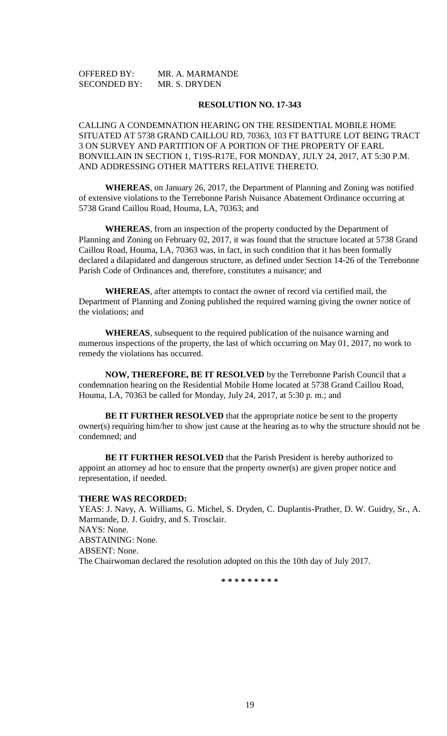| <b>OFFERED BY:</b>  | MR. A. MARMANDE |
|---------------------|-----------------|
| <b>SECONDED BY:</b> | MR. S. DRYDEN   |

CALLING A CONDEMNATION HEARING ON THE RESIDENTIAL MOBILE HOME SITUATED AT 5738 GRAND CAILLOU RD, 70363, 103 FT BATTURE LOT BEING TRACT 3 ON SURVEY AND PARTITION OF A PORTION OF THE PROPERTY OF EARL BONVILLAIN IN SECTION 1, T19S-R17E, FOR MONDAY, JULY 24, 2017, AT 5:30 P.M. AND ADDRESSING OTHER MATTERS RELATIVE THERETO.

**WHEREAS**, on January 26, 2017, the Department of Planning and Zoning was notified of extensive violations to the Terrebonne Parish Nuisance Abatement Ordinance occurring at 5738 Grand Caillou Road, Houma, LA, 70363; and

**WHEREAS**, from an inspection of the property conducted by the Department of Planning and Zoning on February 02, 2017, it was found that the structure located at 5738 Grand Caillou Road, Houma, LA, 70363 was, in fact, in such condition that it has been formally declared a dilapidated and dangerous structure, as defined under Section 14-26 of the Terrebonne Parish Code of Ordinances and, therefore, constitutes a nuisance; and

**WHEREAS**, after attempts to contact the owner of record via certified mail, the Department of Planning and Zoning published the required warning giving the owner notice of the violations; and

**WHEREAS**, subsequent to the required publication of the nuisance warning and numerous inspections of the property, the last of which occurring on May 01, 2017, no work to remedy the violations has occurred.

**NOW, THEREFORE, BE IT RESOLVED** by the Terrebonne Parish Council that a condemnation hearing on the Residential Mobile Home located at 5738 Grand Caillou Road, Houma, LA, 70363 be called for Monday, July 24, 2017, at 5:30 p. m.; and

**BE IT FURTHER RESOLVED** that the appropriate notice be sent to the property owner(s) requiring him/her to show just cause at the hearing as to why the structure should not be condemned; and

**BE IT FURTHER RESOLVED** that the Parish President is hereby authorized to appoint an attorney ad hoc to ensure that the property owner(s) are given proper notice and representation, if needed.

## **THERE WAS RECORDED:**

YEAS: J. Navy, A. Williams, G. Michel, S. Dryden, C. Duplantis-Prather, D. W. Guidry, Sr., A. Marmande, D. J. Guidry, and S. Trosclair. NAYS: None. ABSTAINING: None. ABSENT: None. The Chairwoman declared the resolution adopted on this the 10th day of July 2017.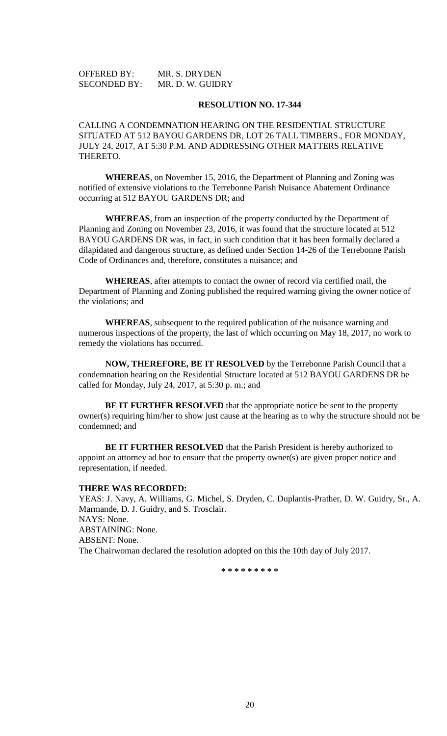| <b>OFFERED BY:</b>  | MR. S. DRYDEN    |
|---------------------|------------------|
| <b>SECONDED BY:</b> | MR. D. W. GUIDRY |

CALLING A CONDEMNATION HEARING ON THE RESIDENTIAL STRUCTURE SITUATED AT 512 BAYOU GARDENS DR, LOT 26 TALL TIMBERS., FOR MONDAY, JULY 24, 2017, AT 5:30 P.M. AND ADDRESSING OTHER MATTERS RELATIVE THERETO.

**WHEREAS**, on November 15, 2016, the Department of Planning and Zoning was notified of extensive violations to the Terrebonne Parish Nuisance Abatement Ordinance occurring at 512 BAYOU GARDENS DR; and

**WHEREAS**, from an inspection of the property conducted by the Department of Planning and Zoning on November 23, 2016, it was found that the structure located at 512 BAYOU GARDENS DR was, in fact, in such condition that it has been formally declared a dilapidated and dangerous structure, as defined under Section 14-26 of the Terrebonne Parish Code of Ordinances and, therefore, constitutes a nuisance; and

**WHEREAS**, after attempts to contact the owner of record via certified mail, the Department of Planning and Zoning published the required warning giving the owner notice of the violations; and

**WHEREAS**, subsequent to the required publication of the nuisance warning and numerous inspections of the property, the last of which occurring on May 18, 2017, no work to remedy the violations has occurred.

**NOW, THEREFORE, BE IT RESOLVED** by the Terrebonne Parish Council that a condemnation hearing on the Residential Structure located at 512 BAYOU GARDENS DR be called for Monday, July 24, 2017, at 5:30 p. m.; and

**BE IT FURTHER RESOLVED** that the appropriate notice be sent to the property owner(s) requiring him/her to show just cause at the hearing as to why the structure should not be condemned; and

**BE IT FURTHER RESOLVED** that the Parish President is hereby authorized to appoint an attorney ad hoc to ensure that the property owner(s) are given proper notice and representation, if needed.

## **THERE WAS RECORDED:**

YEAS: J. Navy, A. Williams, G. Michel, S. Dryden, C. Duplantis-Prather, D. W. Guidry, Sr., A. Marmande, D. J. Guidry, and S. Trosclair. NAYS: None. ABSTAINING: None. ABSENT: None. The Chairwoman declared the resolution adopted on this the 10th day of July 2017.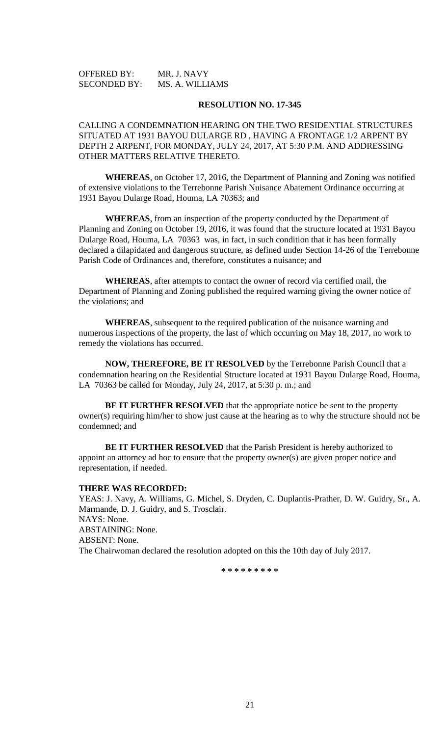| <b>OFFERED BY:</b>  | MR. J. NAVY     |
|---------------------|-----------------|
| <b>SECONDED BY:</b> | MS. A. WILLIAMS |

CALLING A CONDEMNATION HEARING ON THE TWO RESIDENTIAL STRUCTURES SITUATED AT 1931 BAYOU DULARGE RD , HAVING A FRONTAGE 1/2 ARPENT BY DEPTH 2 ARPENT, FOR MONDAY, JULY 24, 2017, AT 5:30 P.M. AND ADDRESSING OTHER MATTERS RELATIVE THERETO.

**WHEREAS**, on October 17, 2016, the Department of Planning and Zoning was notified of extensive violations to the Terrebonne Parish Nuisance Abatement Ordinance occurring at 1931 Bayou Dularge Road, Houma, LA 70363; and

**WHEREAS**, from an inspection of the property conducted by the Department of Planning and Zoning on October 19, 2016, it was found that the structure located at 1931 Bayou Dularge Road, Houma, LA 70363 was, in fact, in such condition that it has been formally declared a dilapidated and dangerous structure, as defined under Section 14-26 of the Terrebonne Parish Code of Ordinances and, therefore, constitutes a nuisance; and

**WHEREAS**, after attempts to contact the owner of record via certified mail, the Department of Planning and Zoning published the required warning giving the owner notice of the violations; and

**WHEREAS**, subsequent to the required publication of the nuisance warning and numerous inspections of the property, the last of which occurring on May 18, 2017, no work to remedy the violations has occurred.

**NOW, THEREFORE, BE IT RESOLVED** by the Terrebonne Parish Council that a condemnation hearing on the Residential Structure located at 1931 Bayou Dularge Road, Houma, LA 70363 be called for Monday, July 24, 2017, at 5:30 p. m.; and

**BE IT FURTHER RESOLVED** that the appropriate notice be sent to the property owner(s) requiring him/her to show just cause at the hearing as to why the structure should not be condemned; and

**BE IT FURTHER RESOLVED** that the Parish President is hereby authorized to appoint an attorney ad hoc to ensure that the property owner(s) are given proper notice and representation, if needed.

#### **THERE WAS RECORDED:**

YEAS: J. Navy, A. Williams, G. Michel, S. Dryden, C. Duplantis-Prather, D. W. Guidry, Sr., A. Marmande, D. J. Guidry, and S. Trosclair. NAYS: None. ABSTAINING: None. ABSENT: None. The Chairwoman declared the resolution adopted on this the 10th day of July 2017.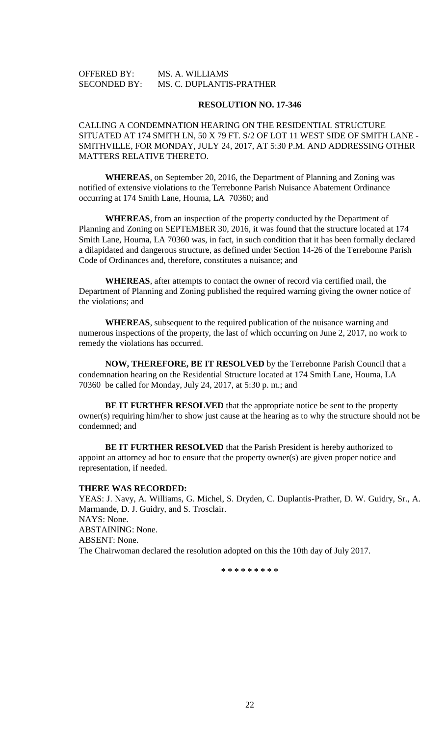## OFFERED BY: MS. A. WILLIAMS SECONDED BY: MS. C. DUPLANTIS-PRATHER

#### **RESOLUTION NO. 17-346**

CALLING A CONDEMNATION HEARING ON THE RESIDENTIAL STRUCTURE SITUATED AT 174 SMITH LN, 50 X 79 FT. S/2 OF LOT 11 WEST SIDE OF SMITH LANE - SMITHVILLE, FOR MONDAY, JULY 24, 2017, AT 5:30 P.M. AND ADDRESSING OTHER MATTERS RELATIVE THERETO.

**WHEREAS**, on September 20, 2016, the Department of Planning and Zoning was notified of extensive violations to the Terrebonne Parish Nuisance Abatement Ordinance occurring at 174 Smith Lane, Houma, LA 70360; and

**WHEREAS**, from an inspection of the property conducted by the Department of Planning and Zoning on SEPTEMBER 30, 2016, it was found that the structure located at 174 Smith Lane, Houma, LA 70360 was, in fact, in such condition that it has been formally declared a dilapidated and dangerous structure, as defined under Section 14-26 of the Terrebonne Parish Code of Ordinances and, therefore, constitutes a nuisance; and

**WHEREAS**, after attempts to contact the owner of record via certified mail, the Department of Planning and Zoning published the required warning giving the owner notice of the violations; and

**WHEREAS**, subsequent to the required publication of the nuisance warning and numerous inspections of the property, the last of which occurring on June 2, 2017, no work to remedy the violations has occurred.

**NOW, THEREFORE, BE IT RESOLVED** by the Terrebonne Parish Council that a condemnation hearing on the Residential Structure located at 174 Smith Lane, Houma, LA 70360 be called for Monday, July 24, 2017, at 5:30 p. m.; and

**BE IT FURTHER RESOLVED** that the appropriate notice be sent to the property owner(s) requiring him/her to show just cause at the hearing as to why the structure should not be condemned; and

**BE IT FURTHER RESOLVED** that the Parish President is hereby authorized to appoint an attorney ad hoc to ensure that the property owner(s) are given proper notice and representation, if needed.

## **THERE WAS RECORDED:**

YEAS: J. Navy, A. Williams, G. Michel, S. Dryden, C. Duplantis-Prather, D. W. Guidry, Sr., A. Marmande, D. J. Guidry, and S. Trosclair. NAYS: None. ABSTAINING: None. ABSENT: None. The Chairwoman declared the resolution adopted on this the 10th day of July 2017.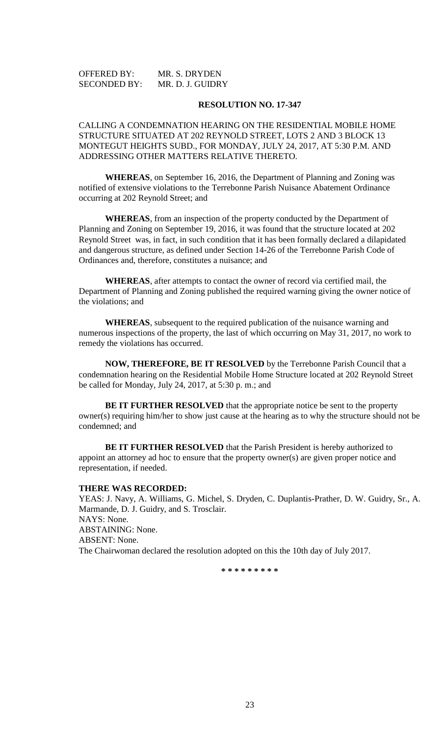| <b>OFFERED BY:</b>  | MR. S. DRYDEN    |
|---------------------|------------------|
| <b>SECONDED BY:</b> | MR. D. J. GUIDRY |

CALLING A CONDEMNATION HEARING ON THE RESIDENTIAL MOBILE HOME STRUCTURE SITUATED AT 202 REYNOLD STREET, LOTS 2 AND 3 BLOCK 13 MONTEGUT HEIGHTS SUBD., FOR MONDAY, JULY 24, 2017, AT 5:30 P.M. AND ADDRESSING OTHER MATTERS RELATIVE THERETO.

**WHEREAS**, on September 16, 2016, the Department of Planning and Zoning was notified of extensive violations to the Terrebonne Parish Nuisance Abatement Ordinance occurring at 202 Reynold Street; and

**WHEREAS**, from an inspection of the property conducted by the Department of Planning and Zoning on September 19, 2016, it was found that the structure located at 202 Reynold Street was, in fact, in such condition that it has been formally declared a dilapidated and dangerous structure, as defined under Section 14-26 of the Terrebonne Parish Code of Ordinances and, therefore, constitutes a nuisance; and

**WHEREAS**, after attempts to contact the owner of record via certified mail, the Department of Planning and Zoning published the required warning giving the owner notice of the violations; and

**WHEREAS**, subsequent to the required publication of the nuisance warning and numerous inspections of the property, the last of which occurring on May 31, 2017, no work to remedy the violations has occurred.

**NOW, THEREFORE, BE IT RESOLVED** by the Terrebonne Parish Council that a condemnation hearing on the Residential Mobile Home Structure located at 202 Reynold Street be called for Monday, July 24, 2017, at 5:30 p. m.; and

**BE IT FURTHER RESOLVED** that the appropriate notice be sent to the property owner(s) requiring him/her to show just cause at the hearing as to why the structure should not be condemned; and

**BE IT FURTHER RESOLVED** that the Parish President is hereby authorized to appoint an attorney ad hoc to ensure that the property owner(s) are given proper notice and representation, if needed.

## **THERE WAS RECORDED:**

YEAS: J. Navy, A. Williams, G. Michel, S. Dryden, C. Duplantis-Prather, D. W. Guidry, Sr., A. Marmande, D. J. Guidry, and S. Trosclair. NAYS: None. ABSTAINING: None. ABSENT: None. The Chairwoman declared the resolution adopted on this the 10th day of July 2017.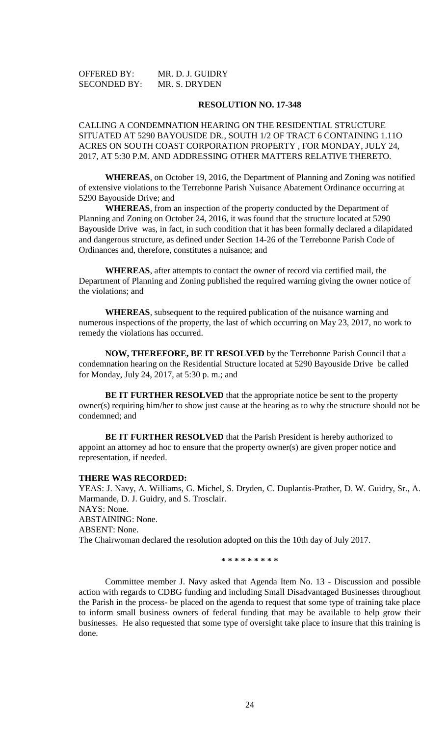| <b>OFFERED BY:</b>  | MR. D. J. GUIDRY |
|---------------------|------------------|
| <b>SECONDED BY:</b> | MR. S. DRYDEN    |

CALLING A CONDEMNATION HEARING ON THE RESIDENTIAL STRUCTURE SITUATED AT 5290 BAYOUSIDE DR., SOUTH 1/2 OF TRACT 6 CONTAINING 1.11O ACRES ON SOUTH COAST CORPORATION PROPERTY , FOR MONDAY, JULY 24, 2017, AT 5:30 P.M. AND ADDRESSING OTHER MATTERS RELATIVE THERETO.

**WHEREAS**, on October 19, 2016, the Department of Planning and Zoning was notified of extensive violations to the Terrebonne Parish Nuisance Abatement Ordinance occurring at 5290 Bayouside Drive; and

**WHEREAS**, from an inspection of the property conducted by the Department of Planning and Zoning on October 24, 2016, it was found that the structure located at 5290 Bayouside Drive was, in fact, in such condition that it has been formally declared a dilapidated and dangerous structure, as defined under Section 14-26 of the Terrebonne Parish Code of Ordinances and, therefore, constitutes a nuisance; and

**WHEREAS**, after attempts to contact the owner of record via certified mail, the Department of Planning and Zoning published the required warning giving the owner notice of the violations; and

**WHEREAS**, subsequent to the required publication of the nuisance warning and numerous inspections of the property, the last of which occurring on May 23, 2017, no work to remedy the violations has occurred.

**NOW, THEREFORE, BE IT RESOLVED** by the Terrebonne Parish Council that a condemnation hearing on the Residential Structure located at 5290 Bayouside Drive be called for Monday, July 24, 2017, at 5:30 p. m.; and

**BE IT FURTHER RESOLVED** that the appropriate notice be sent to the property owner(s) requiring him/her to show just cause at the hearing as to why the structure should not be condemned; and

**BE IT FURTHER RESOLVED** that the Parish President is hereby authorized to appoint an attorney ad hoc to ensure that the property owner(s) are given proper notice and representation, if needed.

#### **THERE WAS RECORDED:**

YEAS: J. Navy, A. Williams, G. Michel, S. Dryden, C. Duplantis-Prather, D. W. Guidry, Sr., A. Marmande, D. J. Guidry, and S. Trosclair. NAYS: None. ABSTAINING: None. ABSENT: None. The Chairwoman declared the resolution adopted on this the 10th day of July 2017.

**\* \* \* \* \* \* \* \* \***

Committee member J. Navy asked that Agenda Item No. 13 - Discussion and possible action with regards to CDBG funding and including Small Disadvantaged Businesses throughout the Parish in the process- be placed on the agenda to request that some type of training take place to inform small business owners of federal funding that may be available to help grow their businesses. He also requested that some type of oversight take place to insure that this training is done.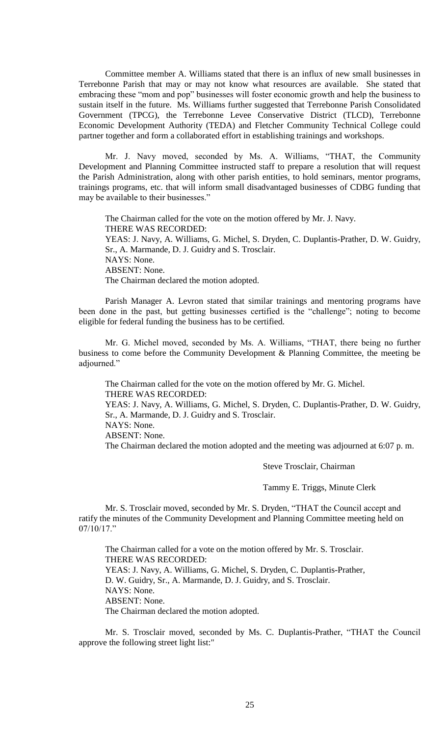Committee member A. Williams stated that there is an influx of new small businesses in Terrebonne Parish that may or may not know what resources are available. She stated that embracing these "mom and pop" businesses will foster economic growth and help the business to sustain itself in the future. Ms. Williams further suggested that Terrebonne Parish Consolidated Government (TPCG), the Terrebonne Levee Conservative District (TLCD), Terrebonne Economic Development Authority (TEDA) and Fletcher Community Technical College could partner together and form a collaborated effort in establishing trainings and workshops.

Mr. J. Navy moved, seconded by Ms. A. Williams, "THAT, the Community Development and Planning Committee instructed staff to prepare a resolution that will request the Parish Administration, along with other parish entities, to hold seminars, mentor programs, trainings programs, etc. that will inform small disadvantaged businesses of CDBG funding that may be available to their businesses."

The Chairman called for the vote on the motion offered by Mr. J. Navy. THERE WAS RECORDED: YEAS: J. Navy, A. Williams, G. Michel, S. Dryden, C. Duplantis-Prather, D. W. Guidry, Sr., A. Marmande, D. J. Guidry and S. Trosclair. NAYS: None. ABSENT: None. The Chairman declared the motion adopted.

Parish Manager A. Levron stated that similar trainings and mentoring programs have been done in the past, but getting businesses certified is the "challenge"; noting to become eligible for federal funding the business has to be certified.

Mr. G. Michel moved, seconded by Ms. A. Williams, "THAT, there being no further business to come before the Community Development & Planning Committee, the meeting be adjourned."

The Chairman called for the vote on the motion offered by Mr. G. Michel. THERE WAS RECORDED: YEAS: J. Navy, A. Williams, G. Michel, S. Dryden, C. Duplantis-Prather, D. W. Guidry, Sr., A. Marmande, D. J. Guidry and S. Trosclair. NAYS: None. ABSENT: None. The Chairman declared the motion adopted and the meeting was adjourned at 6:07 p. m.

Steve Trosclair, Chairman

Tammy E. Triggs, Minute Clerk

Mr. S. Trosclair moved, seconded by Mr. S. Dryden, "THAT the Council accept and ratify the minutes of the Community Development and Planning Committee meeting held on 07/10/17."

The Chairman called for a vote on the motion offered by Mr. S. Trosclair. THERE WAS RECORDED: YEAS: J. Navy, A. Williams, G. Michel, S. Dryden, C. Duplantis-Prather, D. W. Guidry, Sr., A. Marmande, D. J. Guidry, and S. Trosclair. NAYS: None. ABSENT: None. The Chairman declared the motion adopted.

Mr. S. Trosclair moved, seconded by Ms. C. Duplantis-Prather, "THAT the Council approve the following street light list:"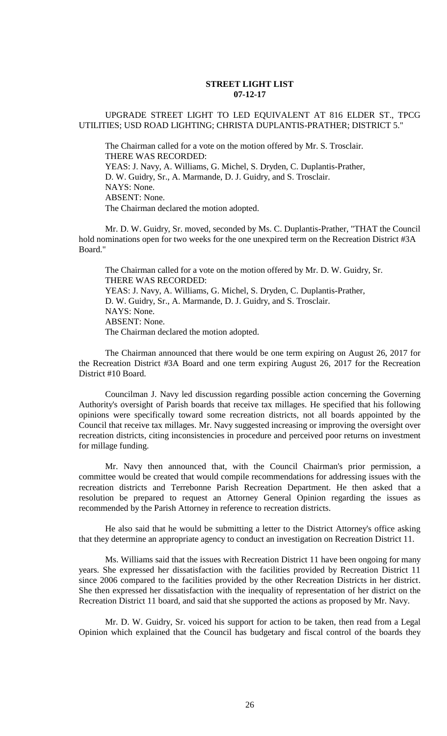## **STREET LIGHT LIST 07-12-17**

## UPGRADE STREET LIGHT TO LED EQUIVALENT AT 816 ELDER ST., TPCG UTILITIES; USD ROAD LIGHTING; CHRISTA DUPLANTIS-PRATHER; DISTRICT 5."

The Chairman called for a vote on the motion offered by Mr. S. Trosclair. THERE WAS RECORDED: YEAS: J. Navy, A. Williams, G. Michel, S. Dryden, C. Duplantis-Prather, D. W. Guidry, Sr., A. Marmande, D. J. Guidry, and S. Trosclair. NAYS: None. ABSENT: None. The Chairman declared the motion adopted.

Mr. D. W. Guidry, Sr. moved, seconded by Ms. C. Duplantis-Prather, "THAT the Council hold nominations open for two weeks for the one unexpired term on the Recreation District #3A Board."

The Chairman called for a vote on the motion offered by Mr. D. W. Guidry, Sr. THERE WAS RECORDED: YEAS: J. Navy, A. Williams, G. Michel, S. Dryden, C. Duplantis-Prather, D. W. Guidry, Sr., A. Marmande, D. J. Guidry, and S. Trosclair. NAYS: None. ABSENT: None. The Chairman declared the motion adopted.

The Chairman announced that there would be one term expiring on August 26, 2017 for the Recreation District #3A Board and one term expiring August 26, 2017 for the Recreation District #10 Board.

Councilman J. Navy led discussion regarding possible action concerning the Governing Authority's oversight of Parish boards that receive tax millages. He specified that his following opinions were specifically toward some recreation districts, not all boards appointed by the Council that receive tax millages. Mr. Navy suggested increasing or improving the oversight over recreation districts, citing inconsistencies in procedure and perceived poor returns on investment for millage funding.

Mr. Navy then announced that, with the Council Chairman's prior permission, a committee would be created that would compile recommendations for addressing issues with the recreation districts and Terrebonne Parish Recreation Department. He then asked that a resolution be prepared to request an Attorney General Opinion regarding the issues as recommended by the Parish Attorney in reference to recreation districts.

He also said that he would be submitting a letter to the District Attorney's office asking that they determine an appropriate agency to conduct an investigation on Recreation District 11.

Ms. Williams said that the issues with Recreation District 11 have been ongoing for many years. She expressed her dissatisfaction with the facilities provided by Recreation District 11 since 2006 compared to the facilities provided by the other Recreation Districts in her district. She then expressed her dissatisfaction with the inequality of representation of her district on the Recreation District 11 board, and said that she supported the actions as proposed by Mr. Navy.

Mr. D. W. Guidry, Sr. voiced his support for action to be taken, then read from a Legal Opinion which explained that the Council has budgetary and fiscal control of the boards they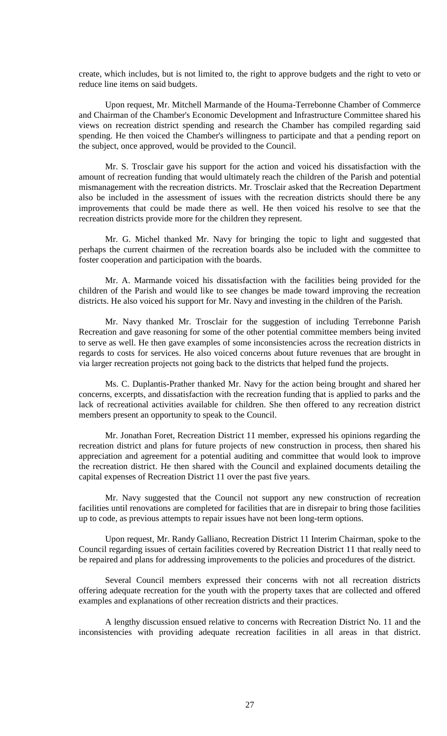create, which includes, but is not limited to, the right to approve budgets and the right to veto or reduce line items on said budgets.

Upon request, Mr. Mitchell Marmande of the Houma-Terrebonne Chamber of Commerce and Chairman of the Chamber's Economic Development and Infrastructure Committee shared his views on recreation district spending and research the Chamber has compiled regarding said spending. He then voiced the Chamber's willingness to participate and that a pending report on the subject, once approved, would be provided to the Council.

Mr. S. Trosclair gave his support for the action and voiced his dissatisfaction with the amount of recreation funding that would ultimately reach the children of the Parish and potential mismanagement with the recreation districts. Mr. Trosclair asked that the Recreation Department also be included in the assessment of issues with the recreation districts should there be any improvements that could be made there as well. He then voiced his resolve to see that the recreation districts provide more for the children they represent.

Mr. G. Michel thanked Mr. Navy for bringing the topic to light and suggested that perhaps the current chairmen of the recreation boards also be included with the committee to foster cooperation and participation with the boards.

Mr. A. Marmande voiced his dissatisfaction with the facilities being provided for the children of the Parish and would like to see changes be made toward improving the recreation districts. He also voiced his support for Mr. Navy and investing in the children of the Parish.

Mr. Navy thanked Mr. Trosclair for the suggestion of including Terrebonne Parish Recreation and gave reasoning for some of the other potential committee members being invited to serve as well. He then gave examples of some inconsistencies across the recreation districts in regards to costs for services. He also voiced concerns about future revenues that are brought in via larger recreation projects not going back to the districts that helped fund the projects.

Ms. C. Duplantis-Prather thanked Mr. Navy for the action being brought and shared her concerns, excerpts, and dissatisfaction with the recreation funding that is applied to parks and the lack of recreational activities available for children. She then offered to any recreation district members present an opportunity to speak to the Council.

Mr. Jonathan Foret, Recreation District 11 member, expressed his opinions regarding the recreation district and plans for future projects of new construction in process, then shared his appreciation and agreement for a potential auditing and committee that would look to improve the recreation district. He then shared with the Council and explained documents detailing the capital expenses of Recreation District 11 over the past five years.

Mr. Navy suggested that the Council not support any new construction of recreation facilities until renovations are completed for facilities that are in disrepair to bring those facilities up to code, as previous attempts to repair issues have not been long-term options.

Upon request, Mr. Randy Galliano, Recreation District 11 Interim Chairman, spoke to the Council regarding issues of certain facilities covered by Recreation District 11 that really need to be repaired and plans for addressing improvements to the policies and procedures of the district.

Several Council members expressed their concerns with not all recreation districts offering adequate recreation for the youth with the property taxes that are collected and offered examples and explanations of other recreation districts and their practices.

A lengthy discussion ensued relative to concerns with Recreation District No. 11 and the inconsistencies with providing adequate recreation facilities in all areas in that district.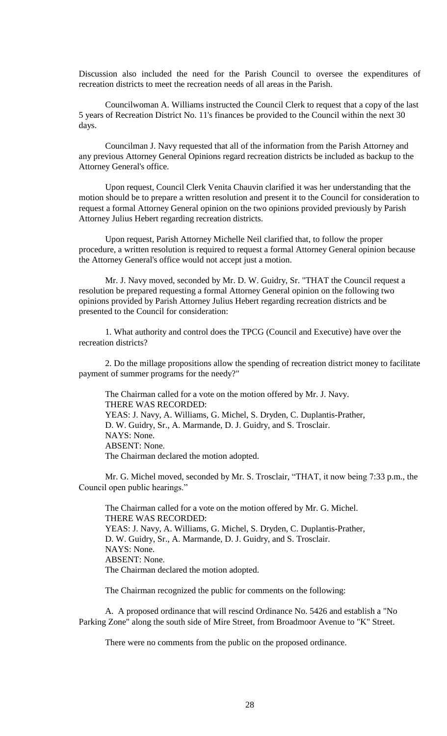Discussion also included the need for the Parish Council to oversee the expenditures of recreation districts to meet the recreation needs of all areas in the Parish.

Councilwoman A. Williams instructed the Council Clerk to request that a copy of the last 5 years of Recreation District No. 11's finances be provided to the Council within the next 30 days.

Councilman J. Navy requested that all of the information from the Parish Attorney and any previous Attorney General Opinions regard recreation districts be included as backup to the Attorney General's office.

Upon request, Council Clerk Venita Chauvin clarified it was her understanding that the motion should be to prepare a written resolution and present it to the Council for consideration to request a formal Attorney General opinion on the two opinions provided previously by Parish Attorney Julius Hebert regarding recreation districts.

Upon request, Parish Attorney Michelle Neil clarified that, to follow the proper procedure, a written resolution is required to request a formal Attorney General opinion because the Attorney General's office would not accept just a motion.

Mr. J. Navy moved, seconded by Mr. D. W. Guidry, Sr. "THAT the Council request a resolution be prepared requesting a formal Attorney General opinion on the following two opinions provided by Parish Attorney Julius Hebert regarding recreation districts and be presented to the Council for consideration:

1. What authority and control does the TPCG (Council and Executive) have over the recreation districts?

2. Do the millage propositions allow the spending of recreation district money to facilitate payment of summer programs for the needy?"

 The Chairman called for a vote on the motion offered by Mr. J. Navy. THERE WAS RECORDED: YEAS: J. Navy, A. Williams, G. Michel, S. Dryden, C. Duplantis-Prather, D. W. Guidry, Sr., A. Marmande, D. J. Guidry, and S. Trosclair. NAYS: None. ABSENT: None. The Chairman declared the motion adopted.

Mr. G. Michel moved, seconded by Mr. S. Trosclair, "THAT, it now being 7:33 p.m., the Council open public hearings."

The Chairman called for a vote on the motion offered by Mr. G. Michel. THERE WAS RECORDED: YEAS: J. Navy, A. Williams, G. Michel, S. Dryden, C. Duplantis-Prather, D. W. Guidry, Sr., A. Marmande, D. J. Guidry, and S. Trosclair. NAYS: None. ABSENT: None. The Chairman declared the motion adopted.

The Chairman recognized the public for comments on the following:

A. A proposed ordinance that will rescind Ordinance No. 5426 and establish a "No Parking Zone" along the south side of Mire Street, from Broadmoor Avenue to "K" Street.

There were no comments from the public on the proposed ordinance.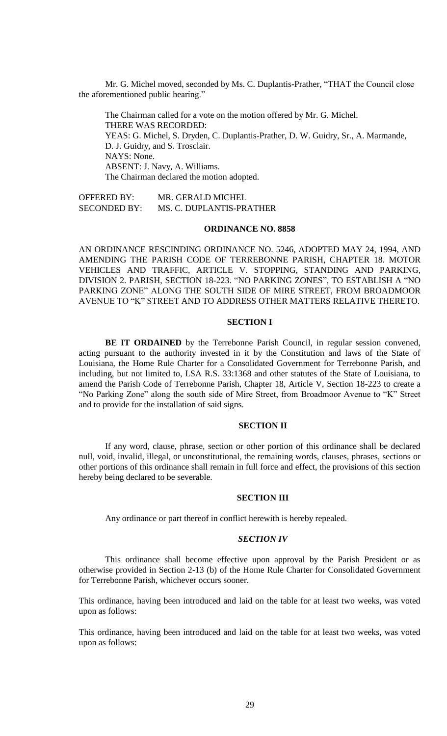Mr. G. Michel moved, seconded by Ms. C. Duplantis-Prather, "THAT the Council close the aforementioned public hearing."

The Chairman called for a vote on the motion offered by Mr. G. Michel. THERE WAS RECORDED: YEAS: G. Michel, S. Dryden, C. Duplantis-Prather, D. W. Guidry, Sr., A. Marmande, D. J. Guidry, and S. Trosclair. NAYS: None. ABSENT: J. Navy, A. Williams. The Chairman declared the motion adopted.

OFFERED BY: MR. GERALD MICHEL SECONDED BY: MS. C. DUPLANTIS-PRATHER

#### **ORDINANCE NO. 8858**

AN ORDINANCE RESCINDING ORDINANCE NO. 5246, ADOPTED MAY 24, 1994, AND AMENDING THE PARISH CODE OF TERREBONNE PARISH, CHAPTER 18. MOTOR VEHICLES AND TRAFFIC, ARTICLE V. STOPPING, STANDING AND PARKING, DIVISION 2. PARISH, SECTION 18-223. "NO PARKING ZONES", TO ESTABLISH A "NO PARKING ZONE" ALONG THE SOUTH SIDE OF MIRE STREET, FROM BROADMOOR AVENUE TO "K" STREET AND TO ADDRESS OTHER MATTERS RELATIVE THERETO.

## **SECTION I**

**BE IT ORDAINED** by the Terrebonne Parish Council, in regular session convened, acting pursuant to the authority invested in it by the Constitution and laws of the State of Louisiana, the Home Rule Charter for a Consolidated Government for Terrebonne Parish, and including, but not limited to, LSA R.S. 33:1368 and other statutes of the State of Louisiana, to amend the Parish Code of Terrebonne Parish, Chapter 18, Article V, Section 18-223 to create a "No Parking Zone" along the south side of Mire Street, from Broadmoor Avenue to "K" Street and to provide for the installation of said signs.

#### **SECTION II**

If any word, clause, phrase, section or other portion of this ordinance shall be declared null, void, invalid, illegal, or unconstitutional, the remaining words, clauses, phrases, sections or other portions of this ordinance shall remain in full force and effect, the provisions of this section hereby being declared to be severable.

#### **SECTION III**

Any ordinance or part thereof in conflict herewith is hereby repealed.

## *SECTION IV*

This ordinance shall become effective upon approval by the Parish President or as otherwise provided in Section 2-13 (b) of the Home Rule Charter for Consolidated Government for Terrebonne Parish, whichever occurs sooner.

This ordinance, having been introduced and laid on the table for at least two weeks, was voted upon as follows:

This ordinance, having been introduced and laid on the table for at least two weeks, was voted upon as follows: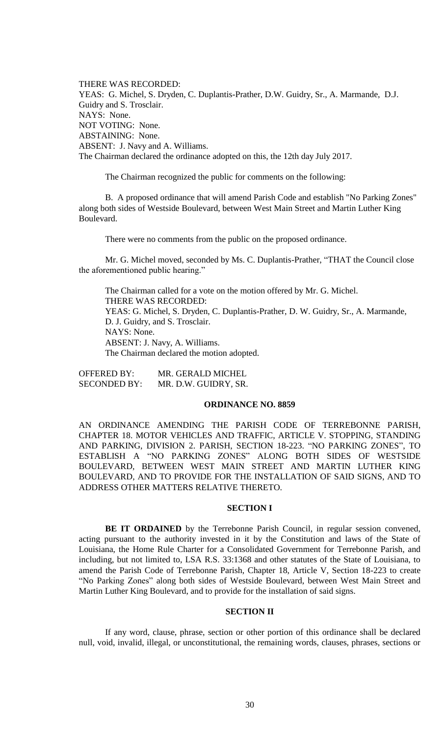THERE WAS RECORDED: YEAS: G. Michel, S. Dryden, C. Duplantis-Prather, D.W. Guidry, Sr., A. Marmande, D.J. Guidry and S. Trosclair. NAYS: None. NOT VOTING: None. ABSTAINING: None. ABSENT: J. Navy and A. Williams. The Chairman declared the ordinance adopted on this, the 12th day July 2017.

The Chairman recognized the public for comments on the following:

B. A proposed ordinance that will amend Parish Code and establish "No Parking Zones" along both sides of Westside Boulevard, between West Main Street and Martin Luther King Boulevard.

There were no comments from the public on the proposed ordinance.

Mr. G. Michel moved, seconded by Ms. C. Duplantis-Prather, "THAT the Council close the aforementioned public hearing."

The Chairman called for a vote on the motion offered by Mr. G. Michel. THERE WAS RECORDED: YEAS: G. Michel, S. Dryden, C. Duplantis-Prather, D. W. Guidry, Sr., A. Marmande, D. J. Guidry, and S. Trosclair. NAYS: None. ABSENT: J. Navy, A. Williams. The Chairman declared the motion adopted.

OFFERED BY: MR. GERALD MICHEL SECONDED BY: MR. D.W. GUIDRY, SR.

#### **ORDINANCE NO. 8859**

AN ORDINANCE AMENDING THE PARISH CODE OF TERREBONNE PARISH, CHAPTER 18. MOTOR VEHICLES AND TRAFFIC, ARTICLE V. STOPPING, STANDING AND PARKING, DIVISION 2. PARISH, SECTION 18-223. "NO PARKING ZONES", TO ESTABLISH A "NO PARKING ZONES" ALONG BOTH SIDES OF WESTSIDE BOULEVARD, BETWEEN WEST MAIN STREET AND MARTIN LUTHER KING BOULEVARD, AND TO PROVIDE FOR THE INSTALLATION OF SAID SIGNS, AND TO ADDRESS OTHER MATTERS RELATIVE THERETO.

## **SECTION I**

BE IT ORDAINED by the Terrebonne Parish Council, in regular session convened, acting pursuant to the authority invested in it by the Constitution and laws of the State of Louisiana, the Home Rule Charter for a Consolidated Government for Terrebonne Parish, and including, but not limited to, LSA R.S. 33:1368 and other statutes of the State of Louisiana, to amend the Parish Code of Terrebonne Parish, Chapter 18, Article V, Section 18-223 to create "No Parking Zones" along both sides of Westside Boulevard, between West Main Street and Martin Luther King Boulevard, and to provide for the installation of said signs.

#### **SECTION II**

If any word, clause, phrase, section or other portion of this ordinance shall be declared null, void, invalid, illegal, or unconstitutional, the remaining words, clauses, phrases, sections or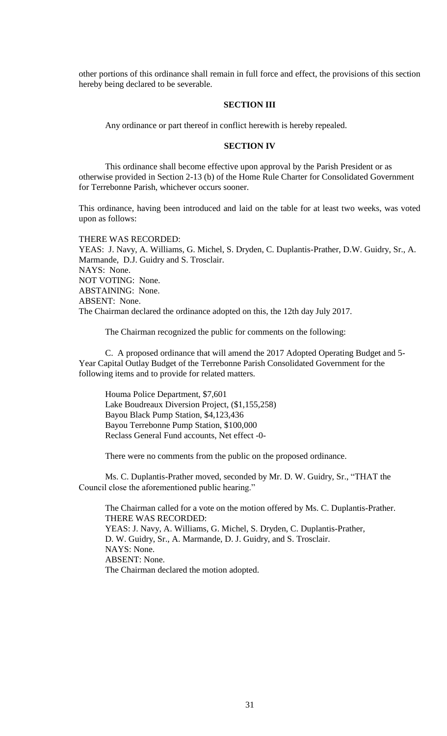other portions of this ordinance shall remain in full force and effect, the provisions of this section hereby being declared to be severable.

## **SECTION III**

Any ordinance or part thereof in conflict herewith is hereby repealed.

## **SECTION IV**

This ordinance shall become effective upon approval by the Parish President or as otherwise provided in Section 2-13 (b) of the Home Rule Charter for Consolidated Government for Terrebonne Parish, whichever occurs sooner.

This ordinance, having been introduced and laid on the table for at least two weeks, was voted upon as follows:

## THERE WAS RECORDED:

YEAS: J. Navy, A. Williams, G. Michel, S. Dryden, C. Duplantis-Prather, D.W. Guidry, Sr., A. Marmande, D.J. Guidry and S. Trosclair. NAYS: None. NOT VOTING: None. ABSTAINING: None. ABSENT: None. The Chairman declared the ordinance adopted on this, the 12th day July 2017.

The Chairman recognized the public for comments on the following:

C. A proposed ordinance that will amend the 2017 Adopted Operating Budget and 5- Year Capital Outlay Budget of the Terrebonne Parish Consolidated Government for the following items and to provide for related matters.

Houma Police Department, \$7,601 Lake Boudreaux Diversion Project, (\$1,155,258) Bayou Black Pump Station, \$4,123,436 Bayou Terrebonne Pump Station, \$100,000 Reclass General Fund accounts, Net effect -0-

There were no comments from the public on the proposed ordinance.

Ms. C. Duplantis-Prather moved, seconded by Mr. D. W. Guidry, Sr., "THAT the Council close the aforementioned public hearing."

The Chairman called for a vote on the motion offered by Ms. C. Duplantis-Prather. THERE WAS RECORDED: YEAS: J. Navy, A. Williams, G. Michel, S. Dryden, C. Duplantis-Prather, D. W. Guidry, Sr., A. Marmande, D. J. Guidry, and S. Trosclair. NAYS: None. ABSENT: None. The Chairman declared the motion adopted.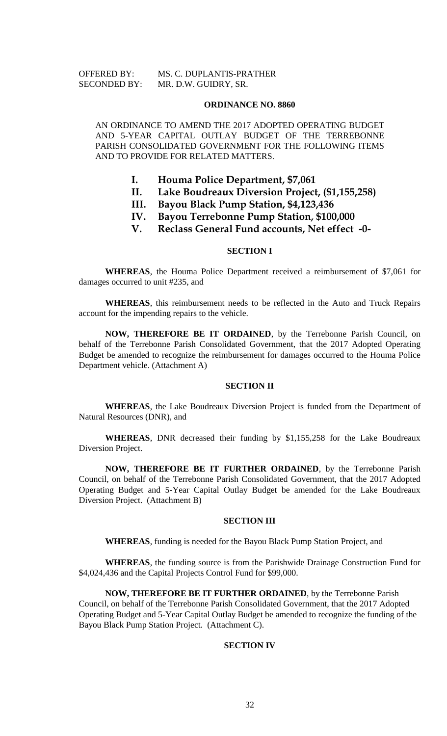## OFFERED BY: MS. C. DUPLANTIS-PRATHER SECONDED BY: MR. D.W. GUIDRY, SR.

#### **ORDINANCE NO. 8860**

AN ORDINANCE TO AMEND THE 2017 ADOPTED OPERATING BUDGET AND 5-YEAR CAPITAL OUTLAY BUDGET OF THE TERREBONNE PARISH CONSOLIDATED GOVERNMENT FOR THE FOLLOWING ITEMS AND TO PROVIDE FOR RELATED MATTERS.

- **I. Houma Police Department, \$7,061**
- **II. Lake Boudreaux Diversion Project, (\$1,155,258)**
- **III. Bayou Black Pump Station, \$4,123,436**
- **IV. Bayou Terrebonne Pump Station, \$100,000**
- **V. Reclass General Fund accounts, Net effect -0-**

### **SECTION I**

**WHEREAS**, the Houma Police Department received a reimbursement of \$7,061 for damages occurred to unit #235, and

**WHEREAS**, this reimbursement needs to be reflected in the Auto and Truck Repairs account for the impending repairs to the vehicle.

**NOW, THEREFORE BE IT ORDAINED**, by the Terrebonne Parish Council, on behalf of the Terrebonne Parish Consolidated Government, that the 2017 Adopted Operating Budget be amended to recognize the reimbursement for damages occurred to the Houma Police Department vehicle. (Attachment A)

## **SECTION II**

**WHEREAS**, the Lake Boudreaux Diversion Project is funded from the Department of Natural Resources (DNR), and

**WHEREAS**, DNR decreased their funding by \$1,155,258 for the Lake Boudreaux Diversion Project.

**NOW, THEREFORE BE IT FURTHER ORDAINED**, by the Terrebonne Parish Council, on behalf of the Terrebonne Parish Consolidated Government, that the 2017 Adopted Operating Budget and 5-Year Capital Outlay Budget be amended for the Lake Boudreaux Diversion Project. (Attachment B)

#### **SECTION III**

**WHEREAS**, funding is needed for the Bayou Black Pump Station Project, and

**WHEREAS**, the funding source is from the Parishwide Drainage Construction Fund for \$4,024,436 and the Capital Projects Control Fund for \$99,000.

**NOW, THEREFORE BE IT FURTHER ORDAINED**, by the Terrebonne Parish Council, on behalf of the Terrebonne Parish Consolidated Government, that the 2017 Adopted Operating Budget and 5-Year Capital Outlay Budget be amended to recognize the funding of the Bayou Black Pump Station Project. (Attachment C).

### **SECTION IV**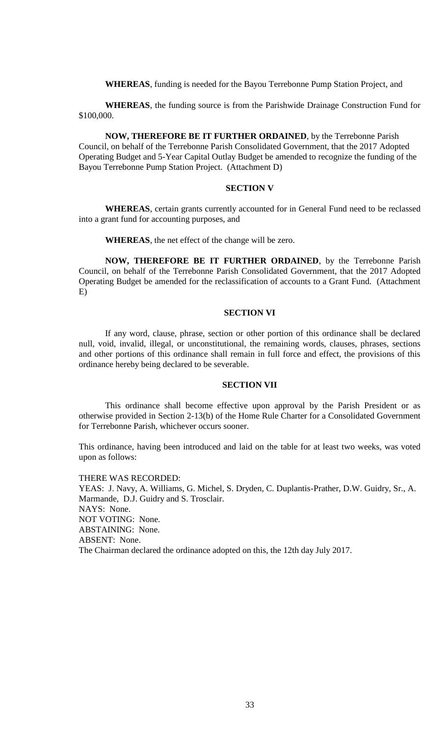**WHEREAS**, funding is needed for the Bayou Terrebonne Pump Station Project, and

**WHEREAS**, the funding source is from the Parishwide Drainage Construction Fund for \$100,000.

**NOW, THEREFORE BE IT FURTHER ORDAINED**, by the Terrebonne Parish Council, on behalf of the Terrebonne Parish Consolidated Government, that the 2017 Adopted Operating Budget and 5-Year Capital Outlay Budget be amended to recognize the funding of the Bayou Terrebonne Pump Station Project. (Attachment D)

#### **SECTION V**

**WHEREAS**, certain grants currently accounted for in General Fund need to be reclassed into a grant fund for accounting purposes, and

**WHEREAS**, the net effect of the change will be zero.

**NOW, THEREFORE BE IT FURTHER ORDAINED**, by the Terrebonne Parish Council, on behalf of the Terrebonne Parish Consolidated Government, that the 2017 Adopted Operating Budget be amended for the reclassification of accounts to a Grant Fund. (Attachment E)

#### **SECTION VI**

If any word, clause, phrase, section or other portion of this ordinance shall be declared null, void, invalid, illegal, or unconstitutional, the remaining words, clauses, phrases, sections and other portions of this ordinance shall remain in full force and effect, the provisions of this ordinance hereby being declared to be severable.

#### **SECTION VII**

This ordinance shall become effective upon approval by the Parish President or as otherwise provided in Section 2-13(b) of the Home Rule Charter for a Consolidated Government for Terrebonne Parish, whichever occurs sooner.

This ordinance, having been introduced and laid on the table for at least two weeks, was voted upon as follows:

THERE WAS RECORDED:

YEAS: J. Navy, A. Williams, G. Michel, S. Dryden, C. Duplantis-Prather, D.W. Guidry, Sr., A. Marmande, D.J. Guidry and S. Trosclair. NAYS: None. NOT VOTING: None. ABSTAINING: None. ABSENT: None. The Chairman declared the ordinance adopted on this, the 12th day July 2017.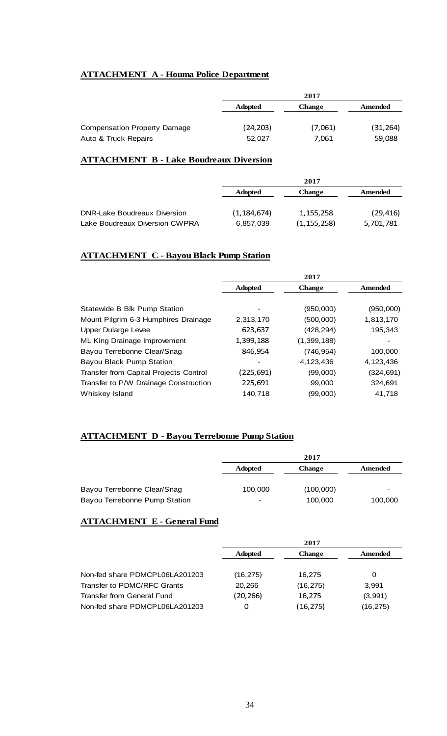## **ATTACHMENT A - Houma Police Department**

|                              | 2017           |               |           |
|------------------------------|----------------|---------------|-----------|
|                              | <b>Adopted</b> | <b>Change</b> | Amended   |
|                              |                |               |           |
| Compensation Property Damage | (24,203)       | (7,061)       | (31, 264) |
| Auto & Truck Repairs         | 52,027         | 7,061         | 59,088    |

## **ATTACHMENT B - Lake Boudreaux Diversion**

|                                     | 2017           |               |           |
|-------------------------------------|----------------|---------------|-----------|
|                                     | <b>Adopted</b> | <b>Change</b> | Amended   |
|                                     |                |               |           |
| <b>DNR-Lake Boudreaux Diversion</b> | (1, 184, 674)  | 1,155,258     | (29, 416) |
| Lake Boudreaux Diversion CWPRA      | 6,857,039      | (1, 155, 258) | 5,701,781 |

# **ATTACHMENT C - Bayou Black Pump Station**

|                                        | 2017           |               |            |
|----------------------------------------|----------------|---------------|------------|
|                                        | <b>Adopted</b> | <b>Change</b> | Amended    |
|                                        |                |               |            |
| Statewide B Blk Pump Station           |                | (950,000)     | (950,000)  |
| Mount Pilgrim 6-3 Humphires Drainage   | 2,313,170      | (500,000)     | 1,813,170  |
| <b>Upper Dularge Levee</b>             | 623,637        | (428, 294)    | 195,343    |
| ML King Drainage Improvement           | 1,399,188      | (1, 399, 188) |            |
| Bayou Terrebonne Clear/Snag            | 846,954        | (746, 954)    | 100,000    |
| Bayou Black Pump Station               |                | 4,123,436     | 4,123,436  |
| Transfer from Capital Projects Control | (225,691)      | (99,000)      | (324, 691) |
| Transfer to P/W Drainage Construction  | 225,691        | 99,000        | 324,691    |
| Whiskey Island                         | 140.718        | (99,000)      | 41,718     |
|                                        |                |               |            |

## **ATTACHMENT D - Bayou Terrebonne Pump Station**

|                               | 2017                     |               |         |
|-------------------------------|--------------------------|---------------|---------|
|                               | <b>Adopted</b>           | <b>Change</b> | Amended |
|                               |                          |               |         |
| Bayou Terrebonne Clear/Snag   | 100,000                  | (100,000)     |         |
| Bayou Terrebonne Pump Station | $\overline{\phantom{0}}$ | 100,000       | 100,000 |

## **ATTACHMENT E - General Fund**

|                                |                | 2017          |          |
|--------------------------------|----------------|---------------|----------|
|                                | <b>Adopted</b> | <b>Change</b> | Amended  |
|                                |                |               |          |
| Non-fed share PDMCPL06LA201203 | (16, 275)      | 16.275        | 0        |
| Transfer to PDMC/RFC Grants    | 20,266         | (16, 275)     | 3,991    |
| Transfer from General Fund     | (20, 266)      | 16.275        | (3,991)  |
| Non-fed share PDMCPL06LA201203 | 0              | (16,275)      | (16,275) |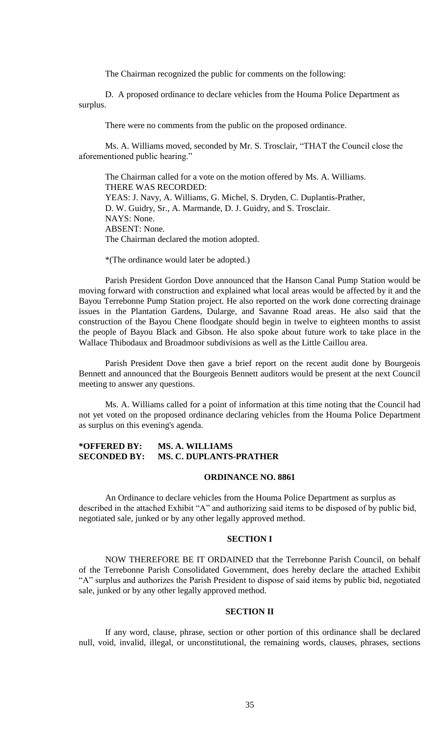The Chairman recognized the public for comments on the following:

D. A proposed ordinance to declare vehicles from the Houma Police Department as surplus.

There were no comments from the public on the proposed ordinance.

Ms. A. Williams moved, seconded by Mr. S. Trosclair, "THAT the Council close the aforementioned public hearing."

The Chairman called for a vote on the motion offered by Ms. A. Williams. THERE WAS RECORDED: YEAS: J. Navy, A. Williams, G. Michel, S. Dryden, C. Duplantis-Prather, D. W. Guidry, Sr., A. Marmande, D. J. Guidry, and S. Trosclair. NAYS: None. ABSENT: None. The Chairman declared the motion adopted.

\*(The ordinance would later be adopted.)

Parish President Gordon Dove announced that the Hanson Canal Pump Station would be moving forward with construction and explained what local areas would be affected by it and the Bayou Terrebonne Pump Station project. He also reported on the work done correcting drainage issues in the Plantation Gardens, Dularge, and Savanne Road areas. He also said that the construction of the Bayou Chene floodgate should begin in twelve to eighteen months to assist the people of Bayou Black and Gibson. He also spoke about future work to take place in the Wallace Thibodaux and Broadmoor subdivisions as well as the Little Caillou area.

Parish President Dove then gave a brief report on the recent audit done by Bourgeois Bennett and announced that the Bourgeois Bennett auditors would be present at the next Council meeting to answer any questions.

Ms. A. Williams called for a point of information at this time noting that the Council had not yet voted on the proposed ordinance declaring vehicles from the Houma Police Department as surplus on this evening's agenda.

## **\*OFFERED BY: MS. A. WILLIAMS SECONDED BY: MS. C. DUPLANTS-PRATHER**

## **ORDINANCE NO. 8861**

An Ordinance to declare vehicles from the Houma Police Department as surplus as described in the attached Exhibit "A" and authorizing said items to be disposed of by public bid, negotiated sale, junked or by any other legally approved method.

## **SECTION I**

NOW THEREFORE BE IT ORDAINED that the Terrebonne Parish Council, on behalf of the Terrebonne Parish Consolidated Government, does hereby declare the attached Exhibit "A" surplus and authorizes the Parish President to dispose of said items by public bid, negotiated sale, junked or by any other legally approved method.

## **SECTION II**

If any word, clause, phrase, section or other portion of this ordinance shall be declared null, void, invalid, illegal, or unconstitutional, the remaining words, clauses, phrases, sections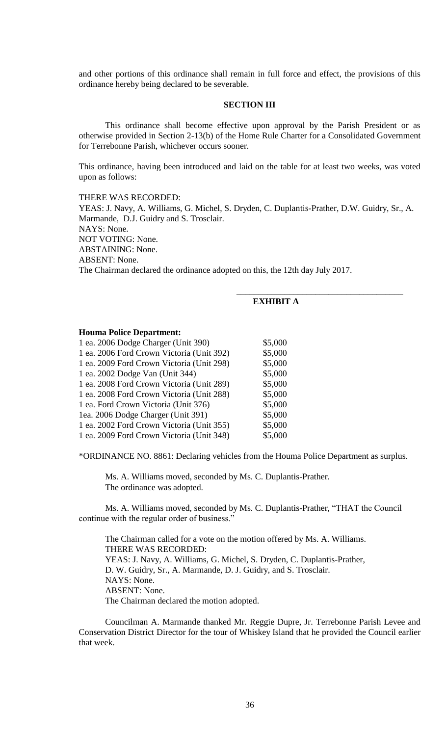and other portions of this ordinance shall remain in full force and effect, the provisions of this ordinance hereby being declared to be severable.

## **SECTION III**

This ordinance shall become effective upon approval by the Parish President or as otherwise provided in Section 2-13(b) of the Home Rule Charter for a Consolidated Government for Terrebonne Parish, whichever occurs sooner.

This ordinance, having been introduced and laid on the table for at least two weeks, was voted upon as follows:

## THERE WAS RECORDED:

YEAS: J. Navy, A. Williams, G. Michel, S. Dryden, C. Duplantis-Prather, D.W. Guidry, Sr., A. Marmande, D.J. Guidry and S. Trosclair. NAYS: None. NOT VOTING: None. ABSTAINING: None. ABSENT: None. The Chairman declared the ordinance adopted on this, the 12th day July 2017.

## **EXHIBIT A**

\_\_\_\_\_\_\_\_\_\_\_\_\_\_\_\_\_\_\_\_\_\_\_\_\_\_\_\_\_\_\_\_\_\_\_\_\_\_

#### **Houma Police Department:**

| 1 ea. 2006 Dodge Charger (Unit 390)       | \$5,000 |
|-------------------------------------------|---------|
| 1 ea. 2006 Ford Crown Victoria (Unit 392) | \$5,000 |
| 1 ea. 2009 Ford Crown Victoria (Unit 298) | \$5,000 |
| 1 ea. 2002 Dodge Van (Unit 344)           | \$5,000 |
| 1 ea. 2008 Ford Crown Victoria (Unit 289) | \$5,000 |
| 1 ea. 2008 Ford Crown Victoria (Unit 288) | \$5,000 |
| 1 ea. Ford Crown Victoria (Unit 376)      | \$5,000 |
| 1ea. 2006 Dodge Charger (Unit 391)        | \$5,000 |
| 1 ea. 2002 Ford Crown Victoria (Unit 355) | \$5,000 |
| 1 ea. 2009 Ford Crown Victoria (Unit 348) | \$5,000 |

\*ORDINANCE NO. 8861: Declaring vehicles from the Houma Police Department as surplus.

Ms. A. Williams moved, seconded by Ms. C. Duplantis-Prather. The ordinance was adopted.

Ms. A. Williams moved, seconded by Ms. C. Duplantis-Prather, "THAT the Council continue with the regular order of business."

The Chairman called for a vote on the motion offered by Ms. A. Williams. THERE WAS RECORDED: YEAS: J. Navy, A. Williams, G. Michel, S. Dryden, C. Duplantis-Prather, D. W. Guidry, Sr., A. Marmande, D. J. Guidry, and S. Trosclair. NAYS: None. ABSENT: None. The Chairman declared the motion adopted.

Councilman A. Marmande thanked Mr. Reggie Dupre, Jr. Terrebonne Parish Levee and Conservation District Director for the tour of Whiskey Island that he provided the Council earlier that week.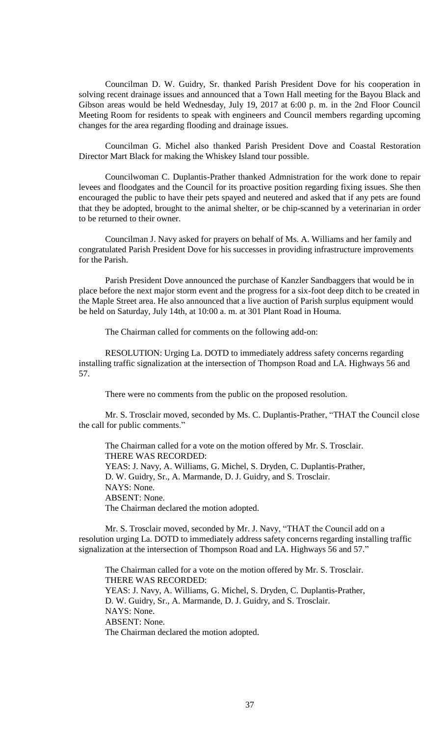Councilman D. W. Guidry, Sr. thanked Parish President Dove for his cooperation in solving recent drainage issues and announced that a Town Hall meeting for the Bayou Black and Gibson areas would be held Wednesday, July 19, 2017 at 6:00 p. m. in the 2nd Floor Council Meeting Room for residents to speak with engineers and Council members regarding upcoming changes for the area regarding flooding and drainage issues.

Councilman G. Michel also thanked Parish President Dove and Coastal Restoration Director Mart Black for making the Whiskey Island tour possible.

Councilwoman C. Duplantis-Prather thanked Admnistration for the work done to repair levees and floodgates and the Council for its proactive position regarding fixing issues. She then encouraged the public to have their pets spayed and neutered and asked that if any pets are found that they be adopted, brought to the animal shelter, or be chip-scanned by a veterinarian in order to be returned to their owner.

Councilman J. Navy asked for prayers on behalf of Ms. A. Williams and her family and congratulated Parish President Dove for his successes in providing infrastructure improvements for the Parish.

Parish President Dove announced the purchase of Kanzler Sandbaggers that would be in place before the next major storm event and the progress for a six-foot deep ditch to be created in the Maple Street area. He also announced that a live auction of Parish surplus equipment would be held on Saturday, July 14th, at 10:00 a. m. at 301 Plant Road in Houma.

The Chairman called for comments on the following add-on:

RESOLUTION: Urging La. DOTD to immediately address safety concerns regarding installing traffic signalization at the intersection of Thompson Road and LA. Highways 56 and 57.

There were no comments from the public on the proposed resolution.

Mr. S. Trosclair moved, seconded by Ms. C. Duplantis-Prather, "THAT the Council close the call for public comments."

The Chairman called for a vote on the motion offered by Mr. S. Trosclair. THERE WAS RECORDED: YEAS: J. Navy, A. Williams, G. Michel, S. Dryden, C. Duplantis-Prather, D. W. Guidry, Sr., A. Marmande, D. J. Guidry, and S. Trosclair. NAYS: None. ABSENT: None. The Chairman declared the motion adopted.

Mr. S. Trosclair moved, seconded by Mr. J. Navy, "THAT the Council add on a resolution urging La. DOTD to immediately address safety concerns regarding installing traffic signalization at the intersection of Thompson Road and LA. Highways 56 and 57."

The Chairman called for a vote on the motion offered by Mr. S. Trosclair. THERE WAS RECORDED: YEAS: J. Navy, A. Williams, G. Michel, S. Dryden, C. Duplantis-Prather, D. W. Guidry, Sr., A. Marmande, D. J. Guidry, and S. Trosclair. NAYS: None. ABSENT: None. The Chairman declared the motion adopted.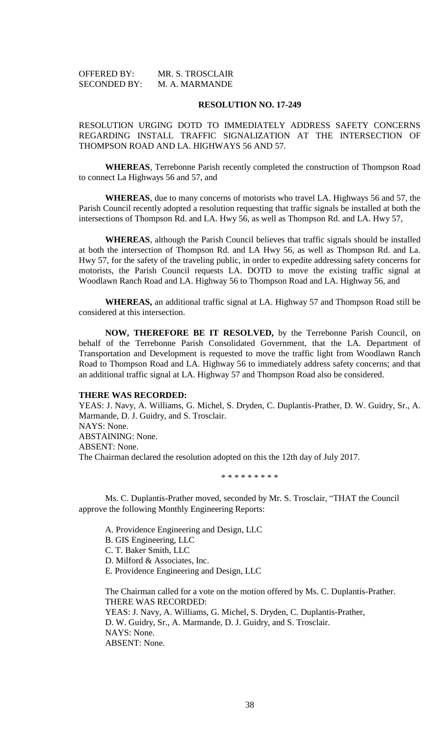| <b>OFFERED BY:</b>  | MR. S. TROSCLAIR |
|---------------------|------------------|
| <b>SECONDED BY:</b> | M. A. MARMANDE   |

RESOLUTION URGING DOTD TO IMMEDIATELY ADDRESS SAFETY CONCERNS REGARDING INSTALL TRAFFIC SIGNALIZATION AT THE INTERSECTION OF THOMPSON ROAD AND LA. HIGHWAYS 56 AND 57.

**WHEREAS**, Terrebonne Parish recently completed the construction of Thompson Road to connect La Highways 56 and 57, and

**WHEREAS**, due to many concerns of motorists who travel LA. Highways 56 and 57, the Parish Council recently adopted a resolution requesting that traffic signals be installed at both the intersections of Thompson Rd. and LA. Hwy 56, as well as Thompson Rd. and LA. Hwy 57,

**WHEREAS**, although the Parish Council believes that traffic signals should be installed at both the intersection of Thompson Rd. and LA Hwy 56, as well as Thompson Rd. and La. Hwy 57, for the safety of the traveling public, in order to expedite addressing safety concerns for motorists, the Parish Council requests LA. DOTD to move the existing traffic signal at Woodlawn Ranch Road and LA. Highway 56 to Thompson Road and LA. Highway 56, and

**WHEREAS,** an additional traffic signal at LA. Highway 57 and Thompson Road still be considered at this intersection.

**NOW, THEREFORE BE IT RESOLVED,** by the Terrebonne Parish Council, on behalf of the Terrebonne Parish Consolidated Government, that the LA. Department of Transportation and Development is requested to move the traffic light from Woodlawn Ranch Road to Thompson Road and LA. Highway 56 to immediately address safety concerns; and that an additional traffic signal at LA. Highway 57 and Thompson Road also be considered.

#### **THERE WAS RECORDED:**

YEAS: J. Navy, A. Williams, G. Michel, S. Dryden, C. Duplantis-Prather, D. W. Guidry, Sr., A. Marmande, D. J. Guidry, and S. Trosclair. NAYS: None. ABSTAINING: None. ABSENT: None. The Chairman declared the resolution adopted on this the 12th day of July 2017.

\* \* \* \* \* \* \* \* \*

Ms. C. Duplantis-Prather moved, seconded by Mr. S. Trosclair, "THAT the Council approve the following Monthly Engineering Reports:

A. Providence Engineering and Design, LLC

B. GIS Engineering, LLC

C. T. Baker Smith, LLC

D. Milford & Associates, Inc.

E. Providence Engineering and Design, LLC

The Chairman called for a vote on the motion offered by Ms. C. Duplantis-Prather. THERE WAS RECORDED: YEAS: J. Navy, A. Williams, G. Michel, S. Dryden, C. Duplantis-Prather, D. W. Guidry, Sr., A. Marmande, D. J. Guidry, and S. Trosclair. NAYS: None.

ABSENT: None.